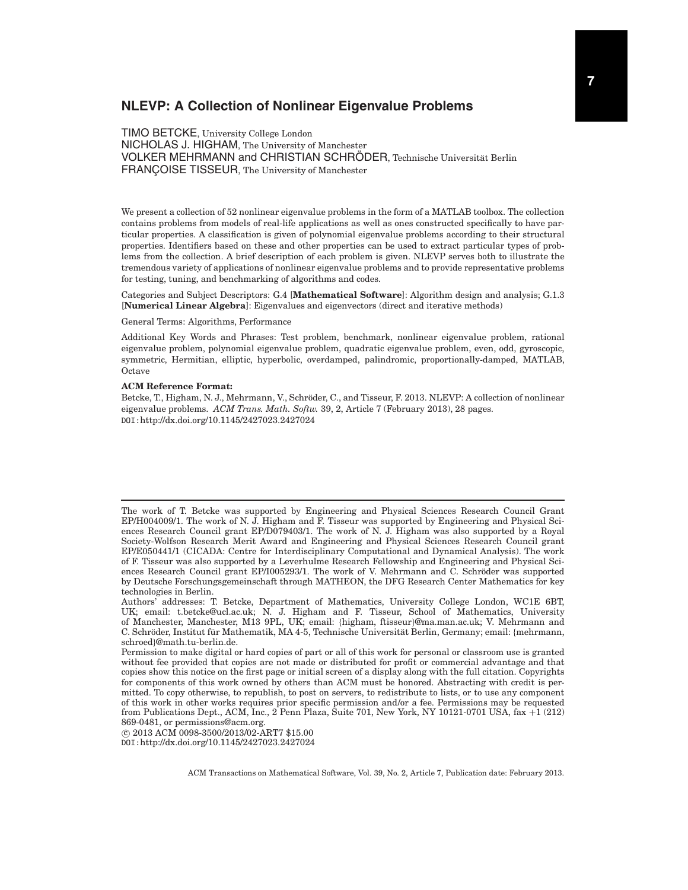# **NLEVP: A Collection of Nonlinear Eigenvalue Problems**

TIMO BETCKE, University College London NICHOLAS J. HIGHAM, The University of Manchester VOLKER MEHRMANN and CHRISTIAN SCHRÖDER, Technische Universität Berlin FRANÇOISE TISSEUR, The University of Manchester

We present a collection of 52 nonlinear eigenvalue problems in the form of a MATLAB toolbox. The collection contains problems from models of real-life applications as well as ones constructed specifically to have particular properties. A classification is given of polynomial eigenvalue problems according to their structural properties. Identifiers based on these and other properties can be used to extract particular types of problems from the collection. A brief description of each problem is given. NLEVP serves both to illustrate the tremendous variety of applications of nonlinear eigenvalue problems and to provide representative problems for testing, tuning, and benchmarking of algorithms and codes.

Categories and Subject Descriptors: G.4 [**Mathematical Software**]: Algorithm design and analysis; G.1.3 [**Numerical Linear Algebra**]: Eigenvalues and eigenvectors (direct and iterative methods)

General Terms: Algorithms, Performance

Additional Key Words and Phrases: Test problem, benchmark, nonlinear eigenvalue problem, rational eigenvalue problem, polynomial eigenvalue problem, quadratic eigenvalue problem, even, odd, gyroscopic, symmetric, Hermitian, elliptic, hyperbolic, overdamped, palindromic, proportionally-damped, MATLAB, Octave

#### **ACM Reference Format:**

Betcke, T., Higham, N. J., Mehrmann, V., Schröder, C., and Tisseur, F. 2013. NLEVP: A collection of nonlinear eigenvalue problems. *ACM Trans. Math. Softw.* 39, 2, Article 7 (February 2013), 28 pages. DOI:http://dx.doi.org/10.1145/2427023.2427024

-c 2013 ACM 0098-3500/2013/02-ART7 \$15.00 DOI:http://dx.doi.org/10.1145/2427023.2427024

The work of T. Betcke was supported by Engineering and Physical Sciences Research Council Grant EP/H004009/1. The work of N. J. Higham and F. Tisseur was supported by Engineering and Physical Sciences Research Council grant EP/D079403/1. The work of N. J. Higham was also supported by a Royal Society-Wolfson Research Merit Award and Engineering and Physical Sciences Research Council grant EP/E050441/1 (CICADA: Centre for Interdisciplinary Computational and Dynamical Analysis). The work of F. Tisseur was also supported by a Leverhulme Research Fellowship and Engineering and Physical Sciences Research Council grant EP/I005293/1. The work of V. Mehrmann and C. Schröder was supported by Deutsche Forschungsgemeinschaft through MATHEON, the DFG Research Center Mathematics for key technologies in Berlin.

Authors' addresses: T. Betcke, Department of Mathematics, University College London, WC1E 6BT, UK; email: t.betcke@ucl.ac.uk; N. J. Higham and F. Tisseur, School of Mathematics, University of Manchester, Manchester, M13 9PL, UK; email: {higham, ftisseur}@ma.man.ac.uk; V. Mehrmann and C. Schröder, Institut für Mathematik, MA 4-5, Technische Universität Berlin, Germany; email: {mehrmann, schroed}@math.tu-berlin.de.

Permission to make digital or hard copies of part or all of this work for personal or classroom use is granted without fee provided that copies are not made or distributed for profit or commercial advantage and that copies show this notice on the first page or initial screen of a display along with the full citation. Copyrights for components of this work owned by others than ACM must be honored. Abstracting with credit is permitted. To copy otherwise, to republish, to post on servers, to redistribute to lists, or to use any component of this work in other works requires prior specific permission and/or a fee. Permissions may be requested from Publications Dept., ACM, Inc., 2 Penn Plaza, Suite 701, New York, NY 10121-0701 USA, fax +1 (212) 869-0481, or permissions@acm.org.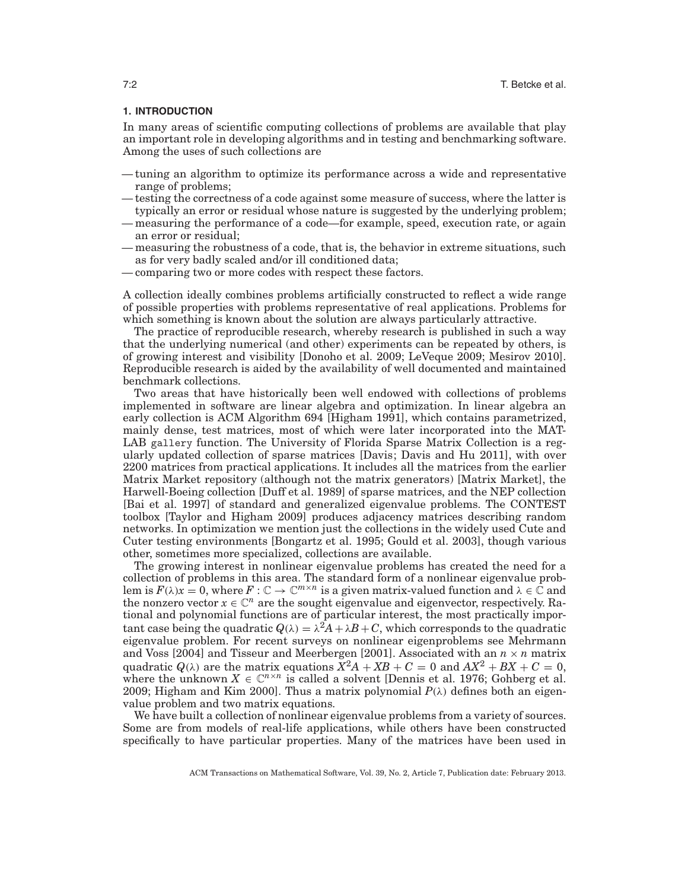## **1. INTRODUCTION**

In many areas of scientific computing collections of problems are available that play an important role in developing algorithms and in testing and benchmarking software. Among the uses of such collections are

- tuning an algorithm to optimize its performance across a wide and representative range of problems;
- testing the correctness of a code against some measure of success, where the latter is typically an error or residual whose nature is suggested by the underlying problem;
- measuring the performance of a code—for example, speed, execution rate, or again an error or residual;
- measuring the robustness of a code, that is, the behavior in extreme situations, such as for very badly scaled and/or ill conditioned data;
- comparing two or more codes with respect these factors.

A collection ideally combines problems artificially constructed to reflect a wide range of possible properties with problems representative of real applications. Problems for which something is known about the solution are always particularly attractive.

The practice of reproducible research, whereby research is published in such a way that the underlying numerical (and other) experiments can be repeated by others, is of growing interest and visibility [Donoho et al. 2009; LeVeque 2009; Mesirov 2010]. Reproducible research is aided by the availability of well documented and maintained benchmark collections.

Two areas that have historically been well endowed with collections of problems implemented in software are linear algebra and optimization. In linear algebra an early collection is ACM Algorithm 694 [Higham 1991], which contains parametrized, mainly dense, test matrices, most of which were later incorporated into the MAT-LAB gallery function. The University of Florida Sparse Matrix Collection is a regularly updated collection of sparse matrices [Davis; Davis and Hu 2011], with over 2200 matrices from practical applications. It includes all the matrices from the earlier Matrix Market repository (although not the matrix generators) [Matrix Market], the Harwell-Boeing collection [Duff et al. 1989] of sparse matrices, and the NEP collection [Bai et al. 1997] of standard and generalized eigenvalue problems. The CONTEST toolbox [Taylor and Higham 2009] produces adjacency matrices describing random networks. In optimization we mention just the collections in the widely used Cute and Cuter testing environments [Bongartz et al. 1995; Gould et al. 2003], though various other, sometimes more specialized, collections are available.

The growing interest in nonlinear eigenvalue problems has created the need for a collection of problems in this area. The standard form of a nonlinear eigenvalue problem is  $F(\lambda)x = 0$ , where  $F: \mathbb{C} \to \mathbb{C}^{m \times n}$  is a given matrix-valued function and  $\lambda \in \mathbb{C}$  and the nonzero vector  $x \in \mathbb{C}^n$  are the sought eigenvalue and eigenvector, respectively. Rational and polynomial functions are of particular interest, the most practically important case being the quadratic  $Q(\lambda) = \lambda^2 A + \lambda B + C$ , which corresponds to the quadratic eigenvalue problem. For recent surveys on nonlinear eigenproblems see Mehrmann and Voss [2004] and Tisseur and Meerbergen [2001]. Associated with an  $n \times n$  matrix quadratic  $Q(\lambda)$  are the matrix equations  $X^2A + XB + C = 0$  and  $AX^2 + BX + C = 0$ , where the unknown  $X \in \mathbb{C}^{n \times n}$  is called a solvent [Dennis et al. 1976; Gohberg et al. 2009; Higham and Kim 2000]. Thus a matrix polynomial  $P(\lambda)$  defines both an eigenvalue problem and two matrix equations.

We have built a collection of nonlinear eigenvalue problems from a variety of sources. Some are from models of real-life applications, while others have been constructed specifically to have particular properties. Many of the matrices have been used in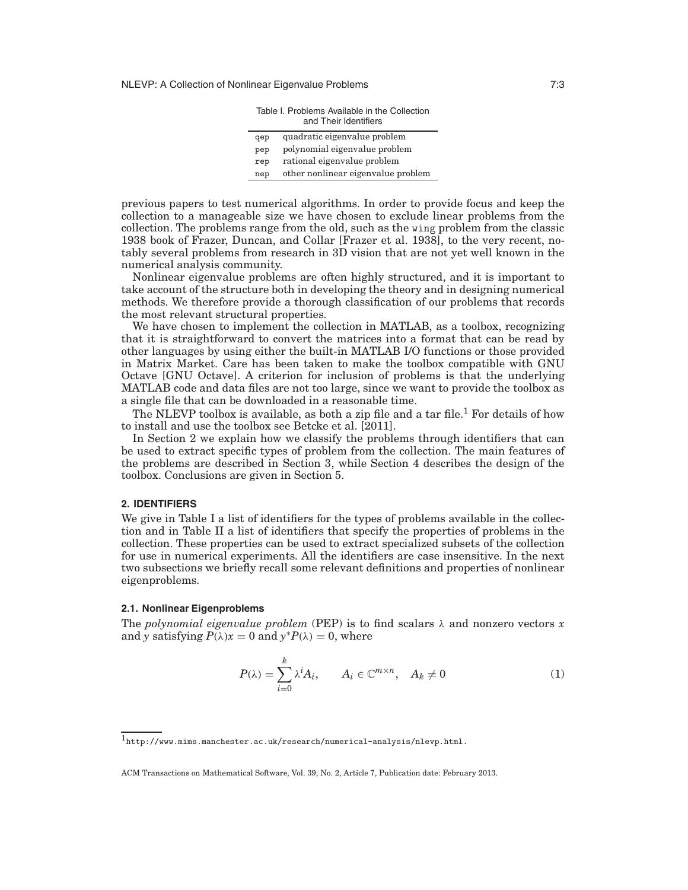NLEVP: A Collection of Nonlinear Eigenvalue Problems 7:3

|                                           | Table I. Problems Available in the Collection<br>and Their Identifiers |  |  |
|-------------------------------------------|------------------------------------------------------------------------|--|--|
| qep                                       | quadratic eigenvalue problem                                           |  |  |
| pep                                       | polynomial eigenvalue problem                                          |  |  |
| rep                                       | rational eigenvalue problem                                            |  |  |
| other nonlinear eigenvalue problem<br>nep |                                                                        |  |  |
|                                           |                                                                        |  |  |

previous papers to test numerical algorithms. In order to provide focus and keep the collection to a manageable size we have chosen to exclude linear problems from the collection. The problems range from the old, such as the wing problem from the classic 1938 book of Frazer, Duncan, and Collar [Frazer et al. 1938], to the very recent, notably several problems from research in 3D vision that are not yet well known in the numerical analysis community.

Nonlinear eigenvalue problems are often highly structured, and it is important to take account of the structure both in developing the theory and in designing numerical methods. We therefore provide a thorough classification of our problems that records the most relevant structural properties.

We have chosen to implement the collection in MATLAB, as a toolbox, recognizing that it is straightforward to convert the matrices into a format that can be read by other languages by using either the built-in MATLAB I/O functions or those provided in Matrix Market. Care has been taken to make the toolbox compatible with GNU Octave [GNU Octave]. A criterion for inclusion of problems is that the underlying MATLAB code and data files are not too large, since we want to provide the toolbox as a single file that can be downloaded in a reasonable time.

The NLEVP toolbox is available, as both a zip file and a tar file.<sup>1</sup> For details of how to install and use the toolbox see Betcke et al. [2011].

In Section 2 we explain how we classify the problems through identifiers that can be used to extract specific types of problem from the collection. The main features of the problems are described in Section 3, while Section 4 describes the design of the toolbox. Conclusions are given in Section 5.

### **2. IDENTIFIERS**

We give in Table I a list of identifiers for the types of problems available in the collection and in Table II a list of identifiers that specify the properties of problems in the collection. These properties can be used to extract specialized subsets of the collection for use in numerical experiments. All the identifiers are case insensitive. In the next two subsections we briefly recall some relevant definitions and properties of nonlinear eigenproblems.

## **2.1. Nonlinear Eigenproblems**

The *polynomial eigenvalue problem* (PEP) is to find scalars  $\lambda$  and nonzero vectors  $x$ and *y* satisfying  $P(\lambda)x = 0$  and  $y^*P(\lambda) = 0$ , where

$$
P(\lambda) = \sum_{i=0}^{k} \lambda^{i} A_{i}, \qquad A_{i} \in \mathbb{C}^{m \times n}, \quad A_{k} \neq 0
$$
 (1)

<sup>1</sup>http://www.mims.manchester.ac.uk/research/numerical-analysis/nlevp.html.

ACM Transactions on Mathematical Software, Vol. 39, No. 2, Article 7, Publication date: February 2013.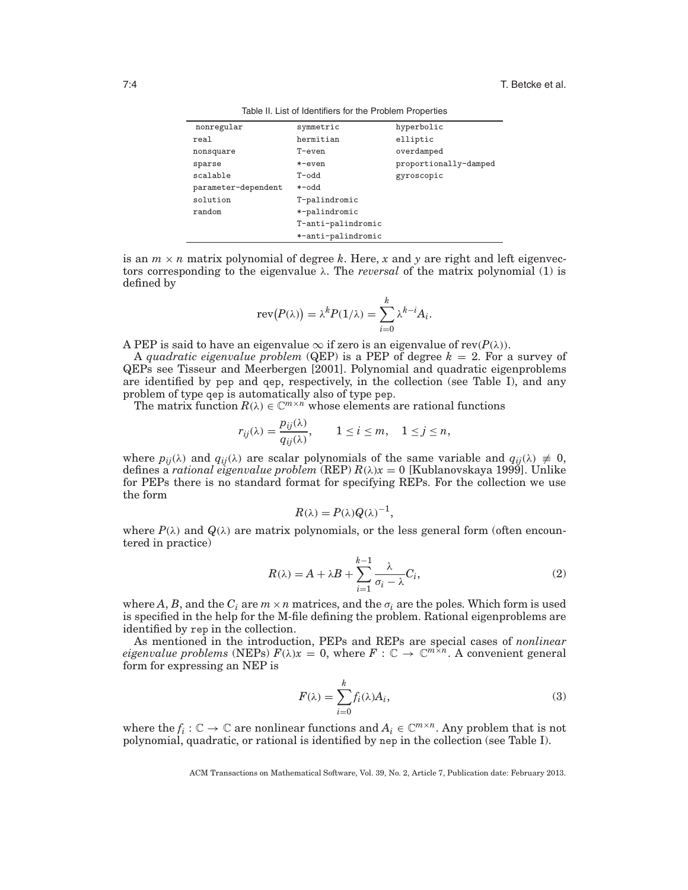| nonregular          | symmetric          | hyperbolic            |
|---------------------|--------------------|-----------------------|
| real                | hermitian          | elliptic              |
| nonsquare           | $T$ -even          | overdamped            |
| sparse              | $*$ -even          | proportionally-damped |
| scalable            | T-odd              | gyroscopic            |
| parameter-dependent | *-odd              |                       |
| solution            | T-palindromic      |                       |
| random              | *-palindromic      |                       |
|                     | T-anti-palindromic |                       |
|                     | *-anti-palindromic |                       |

Table II. List of Identifiers for the Problem Properties

is an  $m \times n$  matrix polynomial of degree  $k$ . Here,  $x$  and  $y$  are right and left eigenvectors corresponding to the eigenvalue  $\lambda$ . The *reversal* of the matrix polynomial (1) is defined by

$$
rev(P(\lambda)) = \lambda^{k} P(1/\lambda) = \sum_{i=0}^{k} \lambda^{k-i} A_{i}.
$$

A PEP is said to have an eigenvalue  $\infty$  if zero is an eigenvalue of rev( $P(\lambda)$ ).

A *quadratic eigenvalue problem* (QEP) is a PEP of degree *k* = 2. For a survey of QEPs see Tisseur and Meerbergen [2001]. Polynomial and quadratic eigenproblems are identified by pep and qep, respectively, in the collection (see Table I), and any problem of type qep is automatically also of type pep.

The matrix function  $R(\lambda) \in \mathbb{C}^{m \times n}$  whose elements are rational functions

$$
r_{ij}(\lambda) = \frac{p_{ij}(\lambda)}{q_{ij}(\lambda)}, \qquad 1 \le i \le m, \quad 1 \le j \le n,
$$

where  $p_{ij}(\lambda)$  and  $q_{ij}(\lambda)$  are scalar polynomials of the same variable and  $q_{ij}(\lambda) \neq 0$ , defines a *rational eigenvalue problem* (REP) *R*(λ)*x* = 0 [Kublanovskaya 1999]. Unlike for PEPs there is no standard format for specifying REPs. For the collection we use the form

$$
R(\lambda) = P(\lambda)Q(\lambda)^{-1},
$$

where  $P(\lambda)$  and  $Q(\lambda)$  are matrix polynomials, or the less general form (often encountered in practice)

$$
R(\lambda) = A + \lambda B + \sum_{i=1}^{k-1} \frac{\lambda}{\sigma_i - \lambda} C_i,
$$
\n(2)

where *A*, *B*, and the  $C_i$  are  $m \times n$  matrices, and the  $\sigma_i$  are the poles. Which form is used is specified in the help for the M-file defining the problem. Rational eigenproblems are identified by rep in the collection.

As mentioned in the introduction, PEPs and REPs are special cases of *nonlinear eigenvalue problems* (NEPs)  $F(\lambda)x = 0$ , where  $F : \mathbb{C} \to \mathbb{C}^{m \times n}$ . A convenient general form for expressing an NEP is

$$
F(\lambda) = \sum_{i=0}^{k} f_i(\lambda) A_i,
$$
\n(3)

where the  $f_i : \mathbb{C} \to \mathbb{C}$  are nonlinear functions and  $A_i \in \mathbb{C}^{m \times n}$ . Any problem that is not polynomial, quadratic, or rational is identified by nep in the collection (see Table I).

ACM Transactions on Mathematical Software, Vol. 39, No. 2, Article 7, Publication date: February 2013.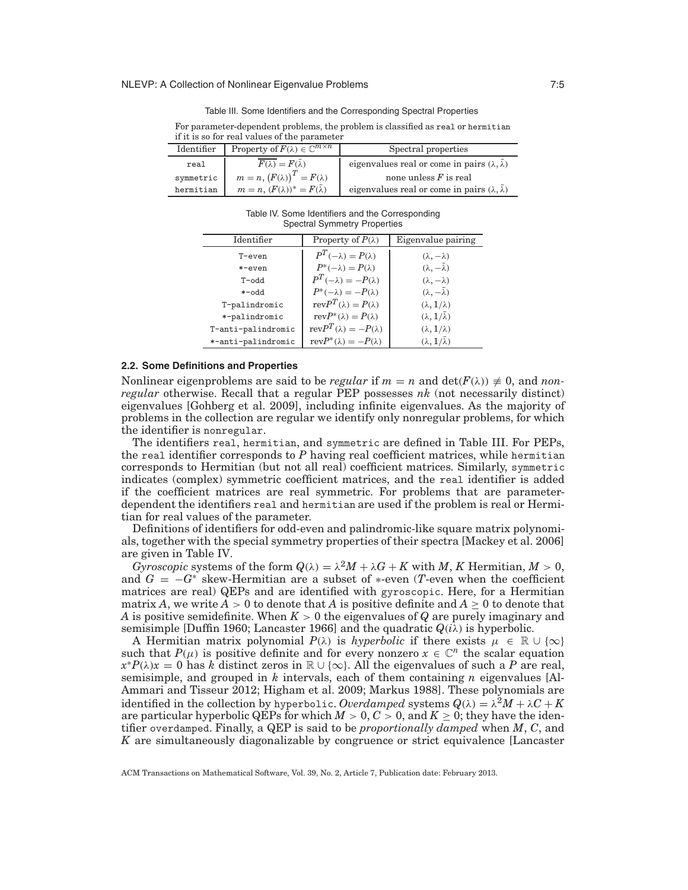Table III. Some Identifiers and the Corresponding Spectral Properties

| For parameter-dependent problems, the problem is classified as real or hermitian |
|----------------------------------------------------------------------------------|
| if it is so for real values of the parameter                                     |

| Identifier | Property of $F(\lambda) \in \mathbb{C}^{m \times n}$ | Spectral properties                                               |
|------------|------------------------------------------------------|-------------------------------------------------------------------|
| real       | $F(\lambda) = F(\overline{\lambda})$                 | eigenvalues real or come in pairs $(\lambda, \overline{\lambda})$ |
| symmetric  | $m = n, (F(\lambda))^{T} = F(\lambda)$               | none unless $F$ is real                                           |
| hermitian  | $m = n$ , $(F(\lambda))^* = F(\overline{\lambda})$   | eigenvalues real or come in pairs $(\lambda, \overline{\lambda})$ |

Table IV. Some Identifiers and the Corresponding Spectral Symmetry Properties

| Identifier         | Property of $P(\lambda)$          | Eigenvalue pairing               |
|--------------------|-----------------------------------|----------------------------------|
| $T$ -even          | $P^T(-\lambda) = P(\lambda)$      | $(\lambda, -\lambda)$            |
| $*$ -even          | $P^*(-\lambda) = P(\lambda)$      | $(\lambda, -\overline{\lambda})$ |
| $T$ -odd           | $P^T(-\lambda) = -P(\lambda)$     | $(\lambda, -\lambda)$            |
| $+$ -odd           | $P^*(-\lambda) = -P(\lambda)$     | $(\lambda, -\overline{\lambda})$ |
| T-palindromic      | $revP^{T}(\lambda) = P(\lambda)$  | $(\lambda, 1/\lambda)$           |
| *-palindromic      | $revP^*(\lambda) = P(\lambda)$    | $(\lambda, 1/\lambda)$           |
| T-anti-palindromic | $revP^{T}(\lambda) = -P(\lambda)$ | $(\lambda, 1/\lambda)$           |
| *-anti-palindromic | $revP^*(\lambda) = -P(\lambda)$   | $(\lambda, 1/\lambda)$           |

## **2.2. Some Definitions and Properties**

Nonlinear eigenproblems are said to be *regular* if  $m = n$  and  $\det(F(\lambda)) \neq 0$ , and *nonregular* otherwise. Recall that a regular PEP possesses *nk* (not necessarily distinct) eigenvalues [Gohberg et al. 2009], including infinite eigenvalues. As the majority of problems in the collection are regular we identify only nonregular problems, for which the identifier is nonregular.

The identifiers real, hermitian, and symmetric are defined in Table III. For PEPs, the real identifier corresponds to *P* having real coefficient matrices, while hermitian corresponds to Hermitian (but not all real) coefficient matrices. Similarly, symmetric indicates (complex) symmetric coefficient matrices, and the real identifier is added if the coefficient matrices are real symmetric. For problems that are parameterdependent the identifiers real and hermitian are used if the problem is real or Hermitian for real values of the parameter.

Definitions of identifiers for odd-even and palindromic-like square matrix polynomials, together with the special symmetry properties of their spectra [Mackey et al. 2006] are given in Table IV.

*Gyroscopic* systems of the form  $Q(\lambda) = \lambda^2 M + \lambda G + K$  with M, K Hermitian,  $M > 0$ , and  $G = -G^*$  skew-Hermitian are a subset of \*-even (*T*-even when the coefficient matrices are real) QEPs and are identified with gyroscopic. Here, for a Hermitian matrix *A*, we write  $A > 0$  to denote that *A* is positive definite and  $A \geq 0$  to denote that *A* is positive semidefinite. When *K* > 0 the eigenvalues of *Q* are purely imaginary and semisimple [Duffin 1960; Lancaster 1966] and the quadratic  $Q(i\lambda)$  is hyperbolic.

A Hermitian matrix polynomial  $P(\lambda)$  is *hyperbolic* if there exists  $\mu \in \mathbb{R} \cup \{\infty\}$ such that  $P(\mu)$  is positive definite and for every nonzero  $x \in \mathbb{C}^n$  the scalar equation  $x*P(\lambda)x = 0$  has *k* distinct zeros in  $\mathbb{R} \cup \{\infty\}$ . All the eigenvalues of such a *P* are real, semisimple, and grouped in *k* intervals, each of them containing *n* eigenvalues [Al-Ammari and Tisseur 2012; Higham et al. 2009; Markus 1988]. These polynomials are identified in the collection by hyperbolic. *Overdamped* systems  $Q(\lambda) = \lambda^2 M + \lambda C + K$ are particular hyperbolic QEPs for which  $M > 0, C > 0$ , and  $K \ge 0$ ; they have the identifier overdamped. Finally, a QEP is said to be *proportionally damped* when *M*, *C*, and *K* are simultaneously diagonalizable by congruence or strict equivalence [Lancaster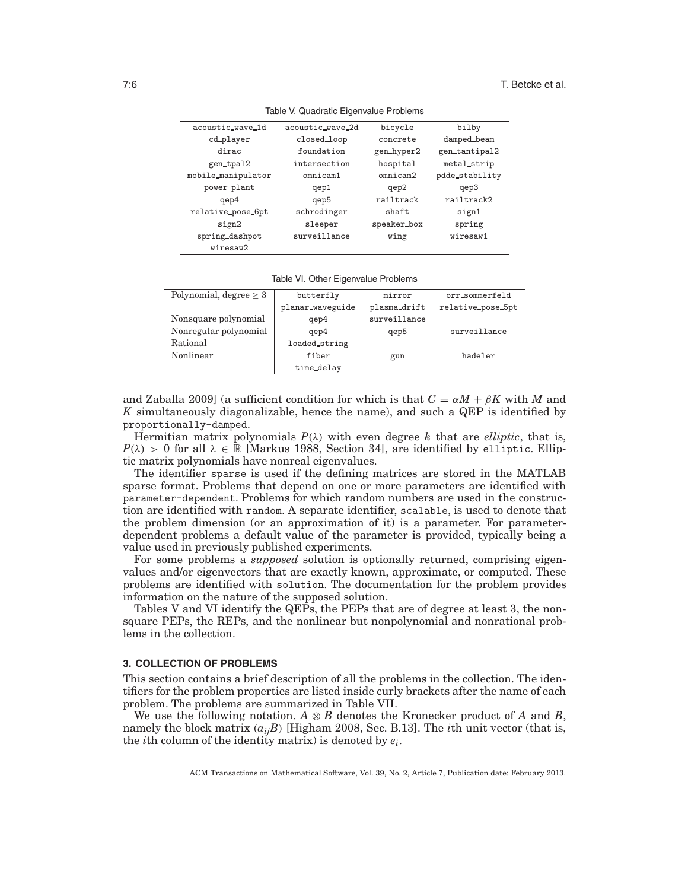| acoustic_wave_1d   | acoustic_wave_2d | bicycle     | bilby          |
|--------------------|------------------|-------------|----------------|
| cd_player          | closed_loop      | concrete    | damped_beam    |
| dirac              | foundation       | gen_hyper2  | gen_tantipal2  |
| gen_tpal2          | intersection     | hospital    | metal_strip    |
| mobile_manipulator | omnicam1         | omnicam2    | pdde_stability |
| power_plant        | qep1             | qep2        | qep3           |
| qep4               | qep5             | railtrack   | railtrack2     |
| relative_pose_6pt  | schrodinger      | shaft       | sign1          |
| sign2              | sleeper          | speaker_box | spring         |
| spring_dashpot     | surveillance     | wing        | wiresaw1       |
| wiresaw2           |                  |             |                |

Table VI. Other Eigenvalue Problems

| Polynomial, degree $> 3$ | butterfly        | mirror       | orr_sommerfeld    |
|--------------------------|------------------|--------------|-------------------|
|                          | planar_waveguide | plasma_drift | relative_pose_5pt |
| Nonsquare polynomial     | qep4             | surveillance |                   |
| Nonregular polynomial    | qep4             | qep5         | surveillance      |
| Rational                 | loaded_string    |              |                   |
| Nonlinear                | fiber            | gun          | hadeler           |
|                          | time_delay       |              |                   |
|                          |                  |              |                   |

and Zaballa 2009] (a sufficient condition for which is that  $C = \alpha M + \beta K$  with M and *K* simultaneously diagonalizable, hence the name), and such a QEP is identified by proportionally-damped.

Hermitian matrix polynomials  $P(\lambda)$  with even degree *k* that are *elliptic*, that is,  $P(\lambda) > 0$  for all  $\lambda \in \mathbb{R}$  [Markus 1988, Section 34], are identified by elliptic. Elliptic matrix polynomials have nonreal eigenvalues.

The identifier sparse is used if the defining matrices are stored in the MATLAB sparse format. Problems that depend on one or more parameters are identified with parameter-dependent. Problems for which random numbers are used in the construction are identified with random. A separate identifier, scalable, is used to denote that the problem dimension (or an approximation of it) is a parameter. For parameterdependent problems a default value of the parameter is provided, typically being a value used in previously published experiments.

For some problems a *supposed* solution is optionally returned, comprising eigenvalues and/or eigenvectors that are exactly known, approximate, or computed. These problems are identified with solution. The documentation for the problem provides information on the nature of the supposed solution.

Tables V and VI identify the QEPs, the PEPs that are of degree at least 3, the nonsquare PEPs, the REPs, and the nonlinear but nonpolynomial and nonrational problems in the collection.

#### **3. COLLECTION OF PROBLEMS**

This section contains a brief description of all the problems in the collection. The identifiers for the problem properties are listed inside curly brackets after the name of each problem. The problems are summarized in Table VII.

We use the following notation.  $A \otimes B$  denotes the Kronecker product of  $A$  and  $B$ , namely the block matrix (*aijB*) [Higham 2008, Sec. B.13]. The *i*th unit vector (that is, the *i*th column of the identity matrix) is denoted by *ei*.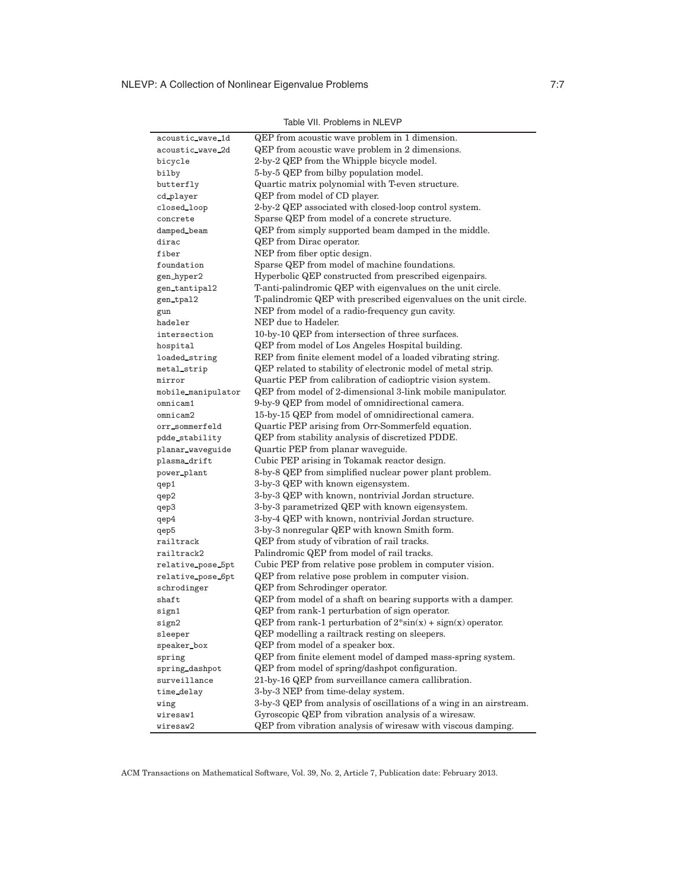| acoustic_wave_1d   | QEP from acoustic wave problem in 1 dimension.                               |
|--------------------|------------------------------------------------------------------------------|
| acoustic_wave_2d   | QEP from acoustic wave problem in 2 dimensions.                              |
| bicycle            | 2-by-2 QEP from the Whipple bicycle model.                                   |
| bilby              | 5-by-5 QEP from bilby population model.                                      |
| butterfly          | Quartic matrix polynomial with T-even structure.                             |
| cd_player          | QEP from model of CD player.                                                 |
| closed_loop        | 2-by-2 QEP associated with closed-loop control system.                       |
| concrete           | Sparse QEP from model of a concrete structure.                               |
| damped_beam        | QEP from simply supported beam damped in the middle.                         |
| dirac              | <b>QEP</b> from Dirac operator.                                              |
| fiber              | NEP from fiber optic design.                                                 |
| foundation         | Sparse QEP from model of machine foundations.                                |
| gen_hyper2         | Hyperbolic QEP constructed from prescribed eigenpairs.                       |
| gen_tantipal2      | T-anti-palindromic QEP with eigenvalues on the unit circle.                  |
| gen_tpal2          | T-palindromic QEP with prescribed eigenvalues on the unit circle.            |
| gun                | NEP from model of a radio-frequency gun cavity.                              |
| hadeler            | NEP due to Hadeler.                                                          |
| intersection       | 10-by-10 QEP from intersection of three surfaces.                            |
| hospital           | QEP from model of Los Angeles Hospital building.                             |
| loaded_string      | REP from finite element model of a loaded vibrating string.                  |
| metal_strip        | QEP related to stability of electronic model of metal strip.                 |
| mirror             | Quartic PEP from calibration of cadioptric vision system.                    |
| mobile_manipulator | QEP from model of 2-dimensional 3-link mobile manipulator.                   |
| omnicam1           | 9-by-9 QEP from model of omnidirectional camera.                             |
| omnicam2           | 15-by-15 QEP from model of omnidirectional camera.                           |
| orr_sommerfeld     | Quartic PEP arising from Orr-Sommerfeld equation.                            |
| pdde_stability     | QEP from stability analysis of discretized PDDE.                             |
| planar_waveguide   | Quartic PEP from planar waveguide.                                           |
| plasma_drift       | Cubic PEP arising in Tokamak reactor design.                                 |
| power_plant        | 8-by-8 QEP from simplified nuclear power plant problem.                      |
| qep1               | 3-by-3 QEP with known eigensystem.                                           |
| qep2               | 3-by-3 QEP with known, nontrivial Jordan structure.                          |
| qep3               | 3-by-3 parametrized QEP with known eigensystem.                              |
| qep4               | 3-by-4 QEP with known, nontrivial Jordan structure.                          |
| qep5               | 3-by-3 nonregular QEP with known Smith form.                                 |
| railtrack          | QEP from study of vibration of rail tracks.                                  |
| railtrack2         | Palindromic QEP from model of rail tracks.                                   |
| relative_pose_5pt  | Cubic PEP from relative pose problem in computer vision.                     |
| relative_pose_6pt  | QEP from relative pose problem in computer vision.                           |
| schrodinger        | <b>QEP</b> from Schrodinger operator.                                        |
| shaft              | QEP from model of a shaft on bearing supports with a damper.                 |
| sign1              | QEP from rank-1 perturbation of sign operator.                               |
| sign2              | QEP from rank-1 perturbation of $2 \cdot \sin(x) + \text{sign}(x)$ operator. |
| sleeper            | QEP modelling a railtrack resting on sleepers.                               |
| speaker_box        | QEP from model of a speaker box.                                             |
| spring             | QEP from finite element model of damped mass-spring system.                  |
| spring_dashpot     | QEP from model of spring/dashpot configuration.                              |
| surveillance       | 21-by-16 QEP from surveillance camera callibration.                          |
| time_delay         | 3-by-3 NEP from time-delay system.                                           |
| wing               | 3-by-3 QEP from analysis of oscillations of a wing in an airstream.          |
| wiresaw1           | Gyroscopic QEP from vibration analysis of a wiresaw.                         |
| wiresaw2           | QEP from vibration analysis of wiresaw with viscous damping.                 |

Table VII. Problems in NLEVP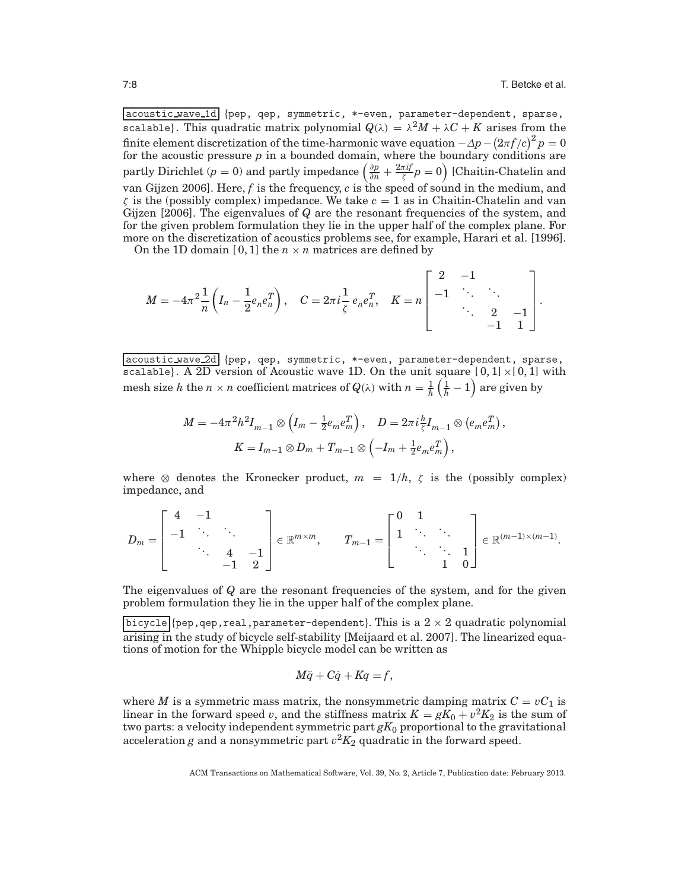acoustic wave 1d {pep, qep, symmetric, \*-even, parameter-dependent, sparse, scalable}. This quadratic matrix polynomial  $Q(\lambda) = \lambda^2 M + \lambda C + K$  arises from the finite element discretization of the time-harmonic wave equation  $-\Delta p - (2\pi f/c)^2 p = 0$ for the acoustic pressure *p* in a bounded domain, where the boundary conditions are partly Dirichlet (*p* = 0) and partly impedance  $\left(\frac{\partial p}{\partial n} + \frac{2\pi i f}{\zeta}p = 0\right)$  [Chaitin-Chatelin and van Gijzen 2006]. Here, *f* is the frequency, *c* is the speed of sound in the medium, and  $\zeta$  is the (possibly complex) impedance. We take  $c = 1$  as in Chaitin-Chatelin and van Gijzen [2006]. The eigenvalues of *Q* are the resonant frequencies of the system, and for the given problem formulation they lie in the upper half of the complex plane. For more on the discretization of acoustics problems see, for example, Harari et al. [1996].

On the 1D domain [0, 1] the  $n \times n$  matrices are defined by

$$
M=-4\pi^2\frac{1}{n}\left(I_n-\frac{1}{2}e_ne_n^T\right),\quad C=2\pi i\frac{1}{\zeta}\,e_ne_n^T,\quad K=n\begin{bmatrix}2&-1& &\\-1&\ddots&\ddots&\\&\ddots&2&-1\\&&-1&1\end{bmatrix}.
$$

acoustic\_wave\_2d {pep, qep, symmetric, \*-even, parameter-dependent, sparse, scalable}. A 2D version of Acoustic wave 1D. On the unit square  $[0,1] \times [0,1]$  with mesh size *h* the  $n \times n$  coefficient matrices of  $Q(\lambda)$  with  $n = \frac{1}{h}$  $\left(\frac{1}{h} - 1\right)$  are given by

$$
M = -4\pi^2 h^2 I_{m-1} \otimes \left( I_m - \frac{1}{2} e_m e_m^T \right), \quad D = 2\pi i \frac{h}{\zeta} I_{m-1} \otimes \left( e_m e_m^T \right),
$$
  

$$
K = I_{m-1} \otimes D_m + T_{m-1} \otimes \left( -I_m + \frac{1}{2} e_m e_m^T \right),
$$

where  $\otimes$  denotes the Kronecker product,  $m = 1/h$ ,  $\zeta$  is the (possibly complex) impedance, and

$$
D_m = \begin{bmatrix} 4 & -1 & & \\ -1 & \ddots & \ddots & \\ & \ddots & 4 & -1 \\ & & -1 & 2 \end{bmatrix} \in \mathbb{R}^{m \times m}, \quad T_{m-1} = \begin{bmatrix} 0 & 1 & & \\ 1 & \ddots & \ddots & \\ & \ddots & \ddots & 1 \\ & & 1 & 0 \end{bmatrix} \in \mathbb{R}^{(m-1) \times (m-1)}.
$$

The eigenvalues of *Q* are the resonant frequencies of the system, and for the given problem formulation they lie in the upper half of the complex plane.

 $\boxed{\text{bicyclic}}$  {pep, qep, real, parameter-dependent}. This is a  $2 \times 2$  quadratic polynomial arising in the study of bicycle self-stability [Meijaard et al. 2007]. The linearized equations of motion for the Whipple bicycle model can be written as

$$
M\ddot{q} + C\dot{q} + Kq = f,
$$

where *M* is a symmetric mass matrix, the nonsymmetric damping matrix  $C = vC_1$  is linear in the forward speed *v*, and the stiffness matrix  $K = gK_0 + v^2K_2$  is the sum of two parts: a velocity independent symmetric part  $gK_0$  proportional to the gravitational acceleration *g* and a nonsymmetric part  $v^2 K_2$  quadratic in the forward speed.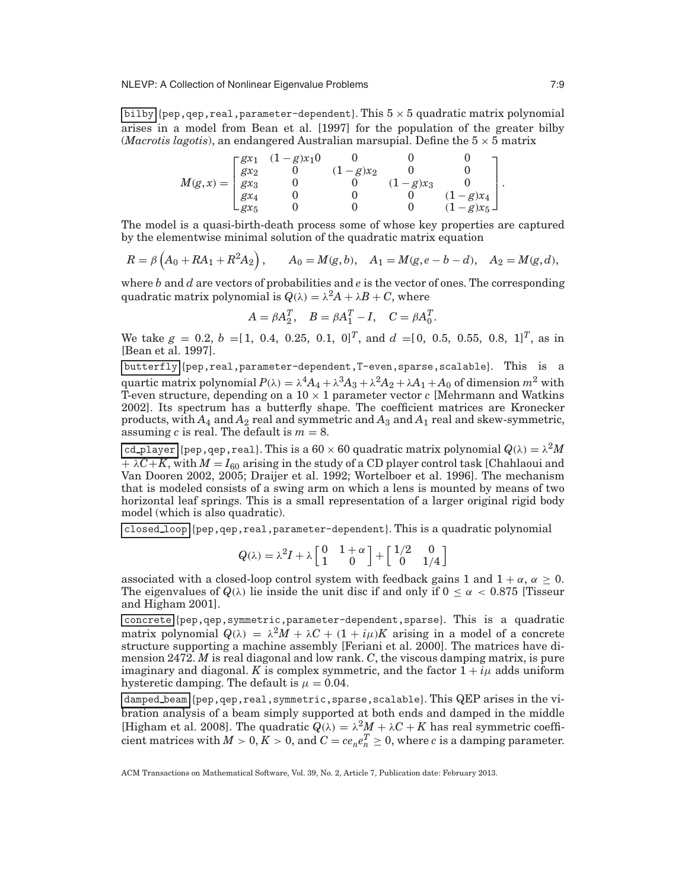bilby  $\{\text{pep}, \text{qep}, \text{real}, \text{parameter-dependent}\}.$  This  $5 \times 5$  quadratic matrix polynomial arises in a model from Bean et al. [1997] for the population of the greater bilby (*Macrotis lagotis*), an endangered Australian marsupial. Define the  $5 \times 5$  matrix

$$
M(g,x)=\begin{bmatrix}gx_1&(1-g)x_10&0&0&0\\gx_2&0&(1-g)x_2&0&0\\gx_3&0&0&(1-g)x_3&0\\gx_4&0&0&0&(1-g)x_4\\gx_5&0&0&0&(1-g)x_5\end{bmatrix}.
$$

The model is a quasi-birth-death process some of whose key properties are captured by the elementwise minimal solution of the quadratic matrix equation

$$
R = \beta \left( A_0 + RA_1 + R^2 A_2 \right), \qquad A_0 = M(g, b), \quad A_1 = M(g, e - b - d), \quad A_2 = M(g, d),
$$

where *b* and *d* are vectors of probabilities and *e* is the vector of ones. The corresponding quadratic matrix polynomial is  $Q(\lambda) = \lambda^2 A + \lambda B + C$ , where

$$
A = \beta A_2^T, \quad B = \beta A_1^T - I, \quad C = \beta A_0^T.
$$

We take  $g = 0.2, b = [1, 0.4, 0.25, 0.1, 0]^T$ , and  $d = [0, 0.5, 0.55, 0.8, 1]^T$ , as in [Bean et al. 1997].

butterfly {pep,real,parameter-dependent,T-even,sparse,scalable}. This is a quartic matrix polynomial  $P(\lambda) = \lambda^4 A_4 + \lambda^3 A_3 + \lambda^2 A_2 + \lambda A_1 + A_0$  of dimension  $m^2$  with T-even structure, depending on a  $10 \times 1$  parameter vector  $c$  [Mehrmann and Watkins 2002]. Its spectrum has a butterfly shape. The coefficient matrices are Kronecker products, with  $A_4$  and  $A_2$  real and symmetric and  $A_3$  and  $A_1$  real and skew-symmetric, assuming *c* is real. The default is  $m = 8$ .

 $\boxed{\text{cd\_player}}$ {pep,qep,real}. This is a  $60 \times 60$  quadratic matrix polynomial  $Q(\lambda) = \lambda^2 M$  $+\lambda C + K$ , with  $M = I_{60}$  arising in the study of a CD player control task [Chahlaoui and Van Dooren 2002, 2005; Draijer et al. 1992; Wortelboer et al. 1996]. The mechanism that is modeled consists of a swing arm on which a lens is mounted by means of two horizontal leaf springs. This is a small representation of a larger original rigid body model (which is also quadratic).

closed loop {pep,qep,real,parameter-dependent}. This is a quadratic polynomial

$$
Q(\lambda) = \lambda^2 I + \lambda \begin{bmatrix} 0 & 1+\alpha \\ 1 & 0 \end{bmatrix} + \begin{bmatrix} 1/2 & 0 \\ 0 & 1/4 \end{bmatrix}
$$

associated with a closed-loop control system with feedback gains 1 and  $1 + \alpha$ ,  $\alpha \ge 0$ . The eigenvalues of  $Q(\lambda)$  lie inside the unit disc if and only if  $0 \leq \alpha < 0.875$  [Tisseur and Higham 2001].

concrete {pep,qep,symmetric,parameter-dependent,sparse}. This is a quadratic matrix polynomial  $Q(\lambda) = \lambda^2 M + \lambda C + (1 + i\mu)K$  arising in a model of a concrete structure supporting a machine assembly [Feriani et al. 2000]. The matrices have dimension 2472. *M* is real diagonal and low rank. *C*, the viscous damping matrix, is pure imaginary and diagonal. *K* is complex symmetric, and the factor  $1 + i\mu$  adds uniform hysteretic damping. The default is  $\mu = 0.04$ .

damped\_beam {pep,qep,real,symmetric,sparse,scalable}. This QEP arises in the vibration analysis of a beam simply supported at both ends and damped in the middle [Higham et al. 2008]. The quadratic  $Q(\lambda) = \lambda^2 M + \lambda C + K$  has real symmetric coeffi- $\text{cient matrices with } M > 0, K > 0, \text{ and } C = ce_ne_n^T \geq 0, \text{ where } c \text{ is a damping parameter.}$ 

ACM Transactions on Mathematical Software, Vol. 39, No. 2, Article 7, Publication date: February 2013.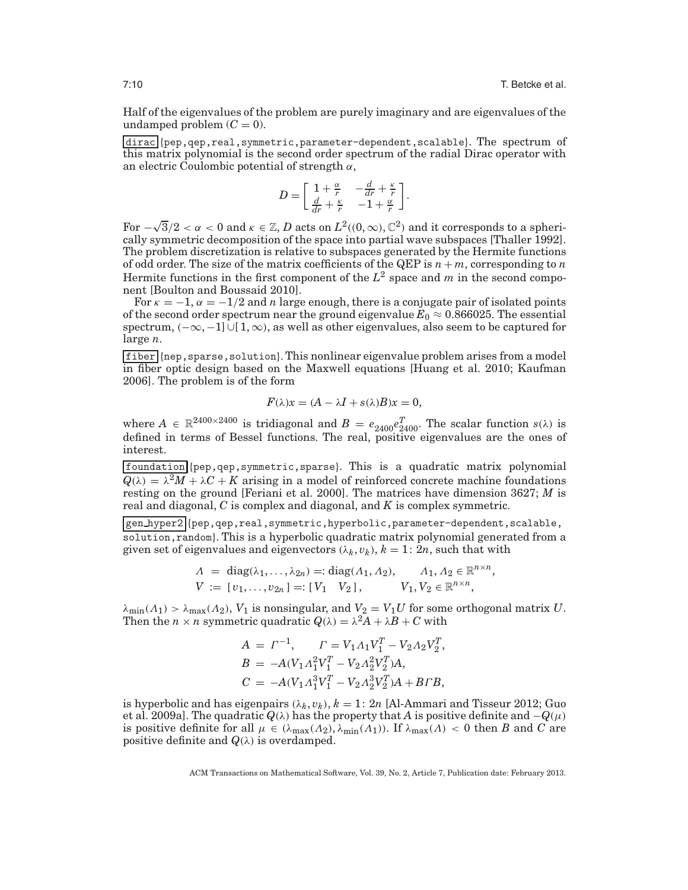Half of the eigenvalues of the problem are purely imaginary and are eigenvalues of the undamped problem  $(C = 0)$ .

dirac {pep,qep,real,symmetric,parameter-dependent,scalable}. The spectrum of this matrix polynomial is the second order spectrum of the radial Dirac operator with an electric Coulombic potential of strength  $\alpha$ ,

$$
D = \begin{bmatrix} 1 + \frac{\alpha}{r} & -\frac{d}{dr} + \frac{\kappa}{r} \\ \frac{d}{dr} + \frac{\kappa}{r} & -1 + \frac{\alpha}{r} \end{bmatrix}.
$$

 $For –$  $\sqrt{3}/2 < \alpha < 0$  and  $\kappa \in \mathbb{Z}$ , *D* acts on  $L^2((0,\infty),\mathbb{C}^2)$  and it corresponds to a spherically symmetric decomposition of the space into partial wave subspaces [Thaller 1992]. The problem discretization is relative to subspaces generated by the Hermite functions of odd order. The size of the matrix coefficients of the QEP is  $n + m$ , corresponding to  $n$ Hermite functions in the first component of the  $L^2$  space and *m* in the second component [Boulton and Boussaid 2010].

For  $\kappa = -1$ ,  $\alpha = -1/2$  and *n* large enough, there is a conjugate pair of isolated points of the second order spectrum near the ground eigenvalue  $E_0 \approx 0.866025$ . The essential spectrum,  $(-\infty, -1]$  ∪[1, $\infty$ ), as well as other eigenvalues, also seem to be captured for large *n*.

fiber {nep,sparse,solution}. This nonlinear eigenvalue problem arises from a model in fiber optic design based on the Maxwell equations [Huang et al. 2010; Kaufman 2006]. The problem is of the form

$$
F(\lambda)x = (A - \lambda I + s(\lambda)B)x = 0,
$$

where  $A \in \mathbb{R}^{2400 \times 2400}$  is tridiagonal and  $B = e_{2400}e_{2400}^T$ . The scalar function  $s(\lambda)$  is defined in terms of Bessel functions. The real, positive eigenvalues are the ones of interest.

foundation {pep,qep,symmetric,sparse}. This is a quadratic matrix polynomial  $Q(\lambda) = \lambda^2 M + \lambda C + K$  arising in a model of reinforced concrete machine foundations resting on the ground [Feriani et al. 2000]. The matrices have dimension 3627; *M* is real and diagonal, *C* is complex and diagonal, and *K* is complex symmetric.

gen hyper2 {pep,qep,real,symmetric,hyperbolic,parameter-dependent,scalable, solution,random}. This is a hyperbolic quadratic matrix polynomial generated from a given set of eigenvalues and eigenvectors  $(\lambda_k, v_k)$ ,  $k = 1: 2n$ , such that with

$$
A = diag(\lambda_1, ..., \lambda_{2n}) =: diag(\Lambda_1, \Lambda_2), \quad \Lambda_1, \Lambda_2 \in \mathbb{R}^{n \times n}, V := [v_1, ..., v_{2n}] =: [V_1 \quad V_2], \quad V_1, V_2 \in \mathbb{R}^{n \times n},
$$

 $\lambda_{\min}(A_1) > \lambda_{\max}(A_2)$ ,  $V_1$  is nonsingular, and  $V_2 = V_1 U$  for some orthogonal matrix  $U$ . Then the  $n \times n$  symmetric quadratic  $Q(\lambda) = \lambda^2 A + \lambda B + C$  with

$$
A = \Gamma^{-1}, \qquad \Gamma = V_1 A_1 V_1^T - V_2 A_2 V_2^T,
$$
  
\n
$$
B = -A(V_1 A_1^2 V_1^T - V_2 A_2^2 V_2^T) A,
$$
  
\n
$$
C = -A(V_1 A_1^3 V_1^T - V_2 A_2^3 V_2^T) A + B \Gamma B,
$$

is hyperbolic and has eigenpairs  $(\lambda_k, v_k)$ ,  $k = 1: 2n$  [Al-Ammari and Tisseur 2012; Guo et al. 2009a]. The quadratic  $Q(\lambda)$  has the property that *A* is positive definite and  $-Q(\mu)$ is positive definite for all  $\mu \in (\lambda_{\max}(A_2), \lambda_{\min}(A_1))$ . If  $\lambda_{\max}(A) < 0$  then *B* and *C* are positive definite and  $Q(\lambda)$  is overdamped.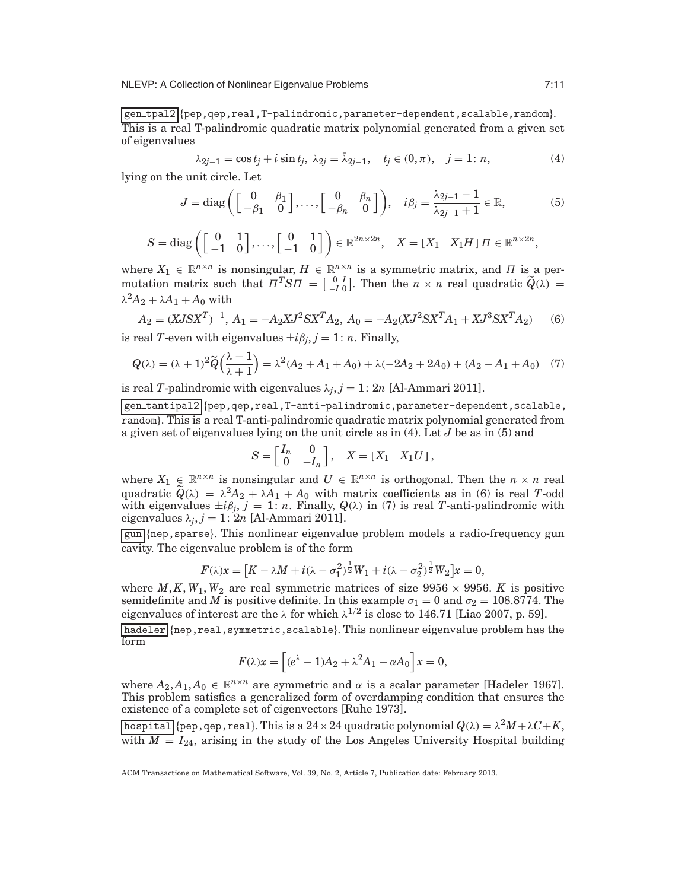gen tpal2 {pep,qep,real,T-palindromic,parameter-dependent,scalable,random}. This is a real T-palindromic quadratic matrix polynomial generated from a given set of eigenvalues

$$
\lambda_{2j-1} = \cos t_j + i \sin t_j, \ \lambda_{2j} = \bar{\lambda}_{2j-1}, \quad t_j \in (0, \pi), \quad j = 1 : n,
$$
 (4)

lying on the unit circle. Let

$$
J = \text{diag}\left(\begin{bmatrix} 0 & \beta_1 \\ -\beta_1 & 0 \end{bmatrix}, \dots, \begin{bmatrix} 0 & \beta_n \\ -\beta_n & 0 \end{bmatrix}\right), \quad i\beta_j = \frac{\lambda_{2j-1} - 1}{\lambda_{2j-1} + 1} \in \mathbb{R},\tag{5}
$$

$$
S = \text{diag}\left(\begin{bmatrix} 0 & 1 \\ -1 & 0 \end{bmatrix}, \ldots, \begin{bmatrix} 0 & 1 \\ -1 & 0 \end{bmatrix}\right) \in \mathbb{R}^{2n \times 2n}, \quad X = \begin{bmatrix} X_1 & X_1 H \end{bmatrix} \Pi \in \mathbb{R}^{n \times 2n},
$$

where  $X_1 \in \mathbb{R}^{n \times n}$  is nonsingular,  $H \in \mathbb{R}^{n \times n}$  is a symmetric matrix, and  $\Pi$  is a permutation matrix such that  $\Pi^T S \Pi = \begin{bmatrix} 0 & I \\ -I & 0 \end{bmatrix}$  $\tilde{Q}$ . Then the  $n \times n$  real quadratic  $\tilde{Q}(\lambda) =$  $\lambda^2 A_2 + \lambda A_1 + A_0$  with

$$
A_2 = (XJSX^T)^{-1}, A_1 = -A_2XJ^2SX^TA_2, A_0 = -A_2(XJ^2SX^TA_1 + XJ^3SX^TA_2)
$$
(6)

is real *T*-even with eigenvalues  $\pm i\beta_i$ ,  $j = 1$ : *n*. Finally,

$$
Q(\lambda) = (\lambda + 1)^2 \widetilde{Q}\left(\frac{\lambda - 1}{\lambda + 1}\right) = \lambda^2 (A_2 + A_1 + A_0) + \lambda (-2A_2 + 2A_0) + (A_2 - A_1 + A_0) \tag{7}
$$

is real *T*-palindromic with eigenvalues  $\lambda_i$ ,  $j = 1$ : 2*n* [Al-Ammari 2011].

gen tantipal2 {pep,qep,real,T-anti-palindromic,parameter-dependent,scalable, random}. This is a real T-anti-palindromic quadratic matrix polynomial generated from a given set of eigenvalues lying on the unit circle as in (4). Let *J* be as in (5) and

$$
S = \begin{bmatrix} I_n & 0 \\ 0 & -I_n \end{bmatrix}, \quad X = \begin{bmatrix} X_1 & X_1 U \end{bmatrix},
$$

where  $X_1 \in \mathbb{R}^{n \times n}$  is nonsingular and  $U \in \mathbb{R}^{n \times n}$  is orthogonal. Then the  $n \times n$  real quadratic  $\widetilde{Q}(\lambda) = \lambda^2 A_2 + \lambda A_1 + A_0$  with matrix coefficients as in (6) is real *T*-odd with eigenvalues  $\pm i\beta_j$ ,  $j = 1$ : *n*. Finally,  $Q(\lambda)$  in (7) is real *T*-anti-palindromic with eigenvalues  $\lambda_j$ ,  $j = 1: 2n$  [Al-Ammari 2011].

gun {nep,sparse}. This nonlinear eigenvalue problem models a radio-frequency gun cavity. The eigenvalue problem is of the form

$$
F(\lambda)x = [K - \lambda M + i(\lambda - \sigma_1^2)^{\frac{1}{2}} W_1 + i(\lambda - \sigma_2^2)^{\frac{1}{2}} W_2]x = 0,
$$

where  $M, K, W_1, W_2$  are real symmetric matrices of size 9956  $\times$  9956. *K* is positive semidefinite and  $\overline{M}$  is positive definite. In this example  $\sigma_1 = 0$  and  $\sigma_2 = 108.8774$ . The eigenvalues of interest are the  $\lambda$  for which  $\lambda^{1/2}$  is close to 146.71 [Liao 2007, p. 59].

hadeler {nep,real,symmetric,scalable}. This nonlinear eigenvalue problem has the form

$$
F(\lambda)x = \left[ (e^{\lambda}-1)A_2 + \lambda^2 A_1 - \alpha A_0 \right] x = 0,
$$

where  $A_2, A_1, A_0 \in \mathbb{R}^{n \times n}$  are symmetric and  $\alpha$  is a scalar parameter [Hadeler 1967]. This problem satisfies a generalized form of overdamping condition that ensures the existence of a complete set of eigenvectors [Ruhe 1973].

 $\left[\text{hospital} \right]$  {pep, qep, real}. This is a 24 × 24 quadratic polynomial  $Q(\lambda) = \lambda^2 M + \lambda C + K$ , with  $M = I_{24}$ , arising in the study of the Los Angeles University Hospital building

ACM Transactions on Mathematical Software, Vol. 39, No. 2, Article 7, Publication date: February 2013.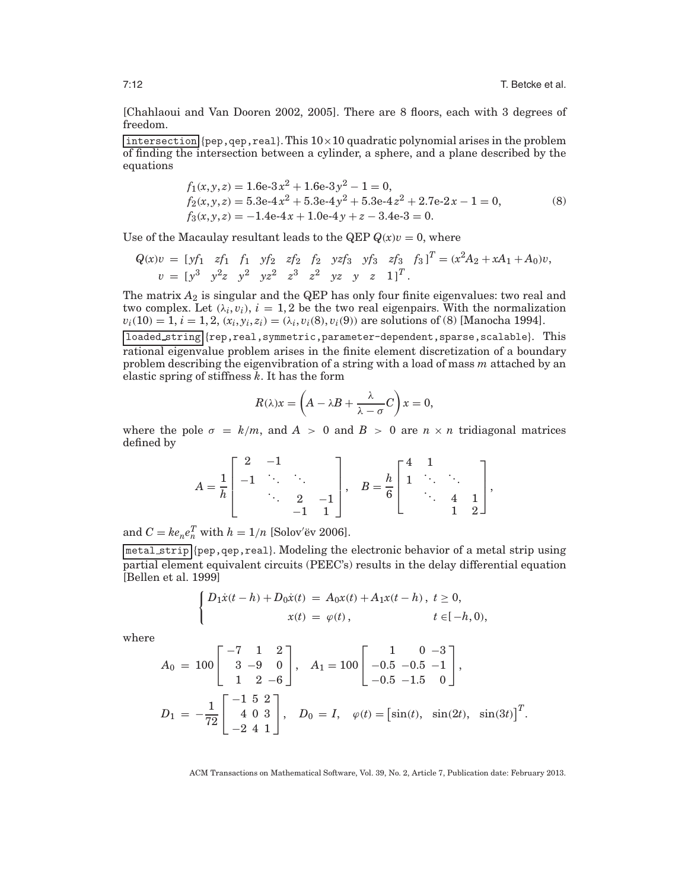[Chahlaoui and Van Dooren 2002, 2005]. There are 8 floors, each with 3 degrees of freedom.

intersection  ${pep, qep, real}$ . This  $10 \times 10$  quadratic polynomial arises in the problem of finding the intersection between a cylinder, a sphere, and a plane described by the equations

$$
f_1(x, y, z) = 1.6e-3x^2 + 1.6e-3y^2 - 1 = 0,
$$
  
\n
$$
f_2(x, y, z) = 5.3e-4x^2 + 5.3e-4y^2 + 5.3e-4z^2 + 2.7e-2x - 1 = 0,
$$
  
\n
$$
f_3(x, y, z) = -1.4e-4x + 1.0e-4y + z - 3.4e-3 = 0.
$$
\n(8)

Use of the Macaulay resultant leads to the QEP  $Q(x)v = 0$ , where

$$
Q(x)v = [y'_1 \ zf_1 \ f_1 \ yf_2 \ zf_2 \ f_2 \ yzf_3 \ yf_3 \ zf_3 \ f_3]^T = (x^2A_2 + xA_1 + A_0)v,
$$
  
\n
$$
v = [y^3 \ y^2z \ y^2 \ z^2 \ z^3 \ z^2 \ yz \ y \ z \ 1]^T.
$$

The matrix  $A_2$  is singular and the QEP has only four finite eigenvalues: two real and two complex. Let  $(\lambda_i, v_i)$ ,  $i = 1, 2$  be the two real eigenpairs. With the normalization  $v_i(10) = 1, i = 1, 2, (x_i, y_i, z_i) = (\lambda_i, v_i(8), v_i(9))$  are solutions of (8) [Manocha 1994].

loaded string {rep,real,symmetric,parameter-dependent,sparse,scalable}. This rational eigenvalue problem arises in the finite element discretization of a boundary problem describing the eigenvibration of a string with a load of mass *m* attached by an elastic spring of stiffness *k*. It has the form

$$
R(\lambda)x = \left(A - \lambda B + \frac{\lambda}{\lambda - \sigma}C\right)x = 0,
$$

where the pole  $\sigma = k/m$ , and  $A > 0$  and  $B > 0$  are  $n \times n$  tridiagonal matrices defined by

$$
A = \frac{1}{h} \begin{bmatrix} 2 & -1 & & \\ -1 & \ddots & \ddots & \\ & \ddots & 2 & -1 \\ & & -1 & 1 \end{bmatrix}, \quad B = \frac{h}{6} \begin{bmatrix} 4 & 1 & & \\ 1 & \ddots & \ddots & \\ & \ddots & 4 & 1 \\ & & 1 & 2 \end{bmatrix},
$$

and  $C = ke_ne_n^T$  with  $h = 1/n$  [Solov'ëv 2006].

metal strip {pep,qep,real}. Modeling the electronic behavior of a metal strip using partial element equivalent circuits (PEEC's) results in the delay differential equation [Bellen et al. 1999]

$$
\begin{cases} D_1 \dot{x}(t-h) + D_0 \dot{x}(t) \ = \ A_0 x(t) + A_1 x(t-h) \, , \ t \geq 0, \\ x(t) \ = \ \varphi(t) \, , \qquad \qquad t \in [-h,0), \end{cases}
$$

where

$$
A_0 = 100 \begin{bmatrix} -7 & 1 & 2 \\ 3 & -9 & 0 \\ 1 & 2 & -6 \end{bmatrix}, A_1 = 100 \begin{bmatrix} 1 & 0 & -3 \\ -0.5 & -0.5 & -1 \\ -0.5 & -1.5 & 0 \end{bmatrix},
$$
  

$$
D_1 = -\frac{1}{72} \begin{bmatrix} -1 & 5 & 2 \\ 4 & 0 & 3 \\ -2 & 4 & 1 \end{bmatrix}, D_0 = I, \varphi(t) = [\sin(t), \sin(2t), \sin(3t)]^T.
$$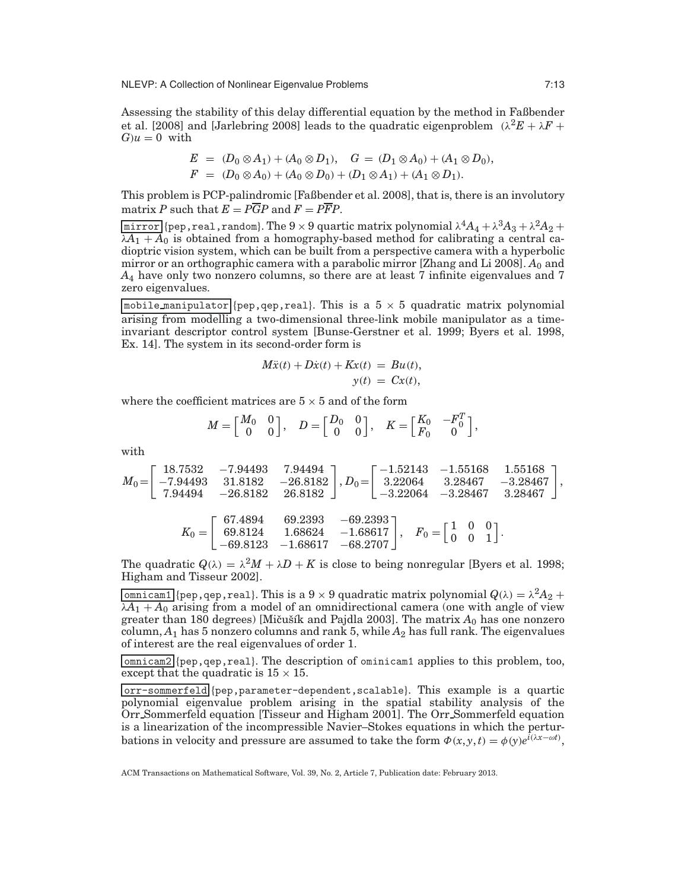NLEVP: A Collection of Nonlinear Eigenvalue Problems 7:13

Assessing the stability of this delay differential equation by the method in Faßbender et al. [2008] and [Jarlebring 2008] leads to the quadratic eigenproblem  $(\lambda^2 E + \lambda F +$  $G/u = 0$  with

$$
E = (D_0 \otimes A_1) + (A_0 \otimes D_1), \quad G = (D_1 \otimes A_0) + (A_1 \otimes D_0),
$$
  

$$
F = (D_0 \otimes A_0) + (A_0 \otimes D_0) + (D_1 \otimes A_1) + (A_1 \otimes D_1).
$$

This problem is PCP-palindromic [Faßbender et al. 2008], that is, there is an involutory matrix *P* such that  $E = P\overline{G}P$  and  $F = P\overline{F}P$ .

 $\overline{\text{mirror}}$  {pep, real, random}. The 9 × 9 quartic matrix polynomial  $\lambda^4 A_4 + \lambda^3 A_3 + \lambda^2 A_2 +$  $\overline{\lambda A_1 + A_0}$  is obtained from a homography-based method for calibrating a central cadioptric vision system, which can be built from a perspective camera with a hyperbolic mirror or an orthographic camera with a parabolic mirror [Zhang and Li 2008]. *A*<sup>0</sup> and *A*<sup>4</sup> have only two nonzero columns, so there are at least 7 infinite eigenvalues and 7 zero eigenvalues.

mobile manipulator {pep,qep,real}. This is a  $5 \times 5$  quadratic matrix polynomial arising from modelling a two-dimensional three-link mobile manipulator as a timeinvariant descriptor control system [Bunse-Gerstner et al. 1999; Byers et al. 1998, Ex. 14]. The system in its second-order form is

$$
M\ddot{x}(t) + D\dot{x}(t) + Kx(t) = Bu(t),
$$
  

$$
y(t) = Cx(t),
$$

where the coefficient matrices are  $5 \times 5$  and of the form

$$
M = \begin{bmatrix} M_0 & 0 \\ 0 & 0 \end{bmatrix}, \quad D = \begin{bmatrix} D_0 & 0 \\ 0 & 0 \end{bmatrix}, \quad K = \begin{bmatrix} K_0 & -F_0^T \\ F_0 & 0 \end{bmatrix},
$$

with

$$
M_0\hspace{-1mm}=\hspace{-1mm} \left[\begin{array}{cccc} 18.7532 & -7.94493 & 7.94494 \\ -7.94493 & 31.8182 & -26.8182 \\ 7.94494 & -26.8182 & 26.8182 \end{array}\right], D_0\hspace{-1mm}=\hspace{-1mm} \left[\begin{array}{cccc} -1.52143 & -1.55168 & 1.55168 \\ 3.22064 & 3.28467 & -3.28467 \\ -3.22064 & -3.28467 & 3.28467 \end{array}\right],
$$

$$
K_0=\left[\begin{array}{cccc} 67.4894 & 69.2393 & -69.2393 \\ 69.8124 & 1.68624 & -1.68617 \\ -69.8123 & -1.68617 & -68.2707 \end{array}\right],\quad F_0=\left[\begin{array}{cc} 1 & 0 & 0 \\ 0 & 0 & 1 \end{array}\right].
$$

The quadratic  $Q(\lambda) = \lambda^2 M + \lambda D + K$  is close to being nonregular [Byers et al. 1998; Higham and Tisseur 2002].

 $\overline{\text{domicam1}}$  {pep, qep, real}. This is a 9  $\times$  9 quadratic matrix polynomial  $Q(\lambda) = \lambda^2 A_2 +$  $\lambda A_1 + A_0$  arising from a model of an omnidirectional camera (one with angle of view greater than 180 degrees) [Mičušík and Pajdla 2003]. The matrix  $A_0$  has one nonzero  $column, A<sub>1</sub>$  has 5 nonzero columns and rank 5, while  $A<sub>2</sub>$  has full rank. The eigenvalues of interest are the real eigenvalues of order 1.

omnicam2 {pep,qep,real}. The description of ominicam1 applies to this problem, too, except that the quadratic is  $15 \times 15$ .

orr-sommerfeld {pep,parameter-dependent,scalable}. This example is a quartic polynomial eigenvalue problem arising in the spatial stability analysis of the Orr Sommerfeld equation [Tisseur and Higham 2001]. The Orr Sommerfeld equation is a linearization of the incompressible Navier–Stokes equations in which the perturbations in velocity and pressure are assumed to take the form  $\Phi(x, y, t) = \phi(y)e^{i(\lambda x - \omega t)}$ ,

ACM Transactions on Mathematical Software, Vol. 39, No. 2, Article 7, Publication date: February 2013.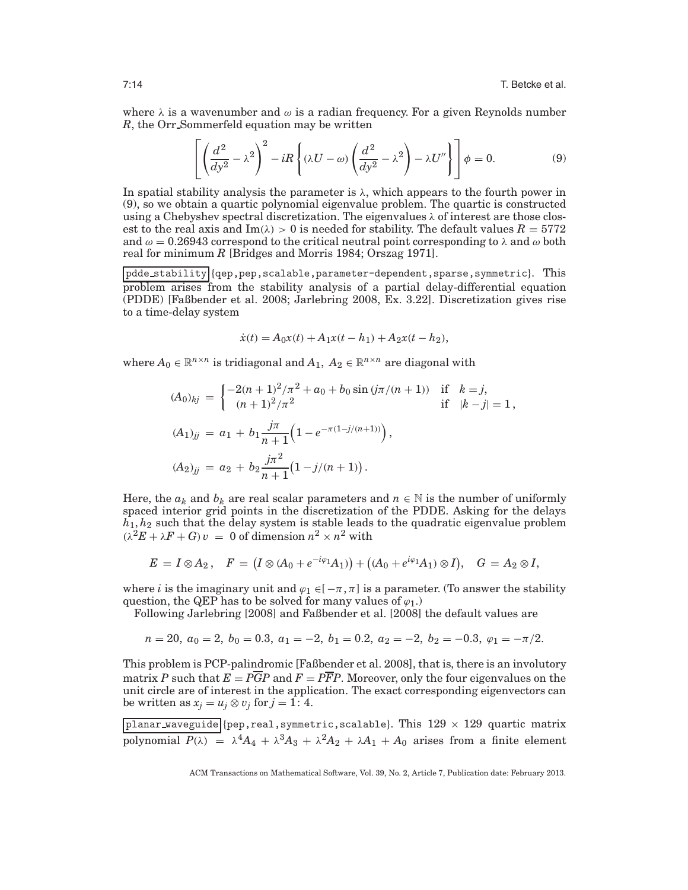where  $\lambda$  is a wavenumber and  $\omega$  is a radian frequency. For a given Reynolds number *R*, the Orr Sommerfeld equation may be written

$$
\left[ \left( \frac{d^2}{dy^2} - \lambda^2 \right)^2 - iR \left\{ (\lambda U - \omega) \left( \frac{d^2}{dy^2} - \lambda^2 \right) - \lambda U'' \right\} \right] \phi = 0. \tag{9}
$$

In spatial stability analysis the parameter is  $\lambda$ , which appears to the fourth power in (9), so we obtain a quartic polynomial eigenvalue problem. The quartic is constructed using a Chebyshev spectral discretization. The eigenvalues  $\lambda$  of interest are those closest to the real axis and Im( $\lambda$ ) > 0 is needed for stability. The default values  $R = 5772$ and  $\omega = 0.26943$  correspond to the critical neutral point corresponding to  $\lambda$  and  $\omega$  both real for minimum *R* [Bridges and Morris 1984; Orszag 1971].

pdde stability {qep,pep,scalable,parameter-dependent,sparse,symmetric}. This problem arises from the stability analysis of a partial delay-differential equation (PDDE) [Faßbender et al. 2008; Jarlebring 2008, Ex. 3.22]. Discretization gives rise to a time-delay system

$$
\dot{x}(t) = A_0 x(t) + A_1 x(t - h_1) + A_2 x(t - h_2),
$$

where  $A_0 \in \mathbb{R}^{n \times n}$  is tridiagonal and  $A_1, A_2 \in \mathbb{R}^{n \times n}$  are diagonal with

$$
(A_0)_{kj} = \begin{cases} -2(n+1)^2/\pi^2 + a_0 + b_0 \sin(j\pi/(n+1)) & \text{if } k = j, \\ (n+1)^2/\pi^2 & \text{if } |k-j| = 1, \end{cases}
$$
  

$$
(A_1)_{jj} = a_1 + b_1 \frac{j\pi}{n+1} \Big( 1 - e^{-\pi(1-j/(n+1))} \Big),
$$
  

$$
(A_2)_{jj} = a_2 + b_2 \frac{j\pi^2}{n+1} \Big( 1 - j/(n+1) \Big).
$$

Here, the  $a_k$  and  $b_k$  are real scalar parameters and  $n \in \mathbb{N}$  is the number of uniformly spaced interior grid points in the discretization of the PDDE. Asking for the delays *h*1, *h*<sup>2</sup> such that the delay system is stable leads to the quadratic eigenvalue problem  $(\lambda^2 E + \lambda F + G)v = 0$  of dimension  $n^2 \times n^2$  with

$$
E = I \otimes A_2, \quad F = (I \otimes (A_0 + e^{-i\varphi_1} A_1)) + ((A_0 + e^{i\varphi_1} A_1) \otimes I), \quad G = A_2 \otimes I,
$$

where *i* is the imaginary unit and  $\varphi_1 \in [-\pi, \pi]$  is a parameter. (To answer the stability question, the QEP has to be solved for many values of  $\varphi_1$ .)

Following Jarlebring [2008] and Faßbender et al. [2008] the default values are

$$
n = 20, a_0 = 2, b_0 = 0.3, a_1 = -2, b_1 = 0.2, a_2 = -2, b_2 = -0.3, \varphi_1 = -\pi/2.
$$

This problem is PCP-palindromic [Faßbender et al. 2008], that is, there is an involutory matrix *P* such that  $E = P\overline{G}P$  and  $F = P\overline{F}P$ . Moreover, only the four eigenvalues on the unit circle are of interest in the application. The exact corresponding eigenvectors can be written as  $x_j = u_j \otimes v_j$  for  $j = 1: 4$ .

planar waveguide {pep, real, symmetric, scalable}. This  $129 \times 129$  quartic matrix polynomial  $P(\lambda) = \lambda^4 A_4 + \lambda^3 A_3 + \lambda^2 A_2 + \lambda A_1 + A_0$  arises from a finite element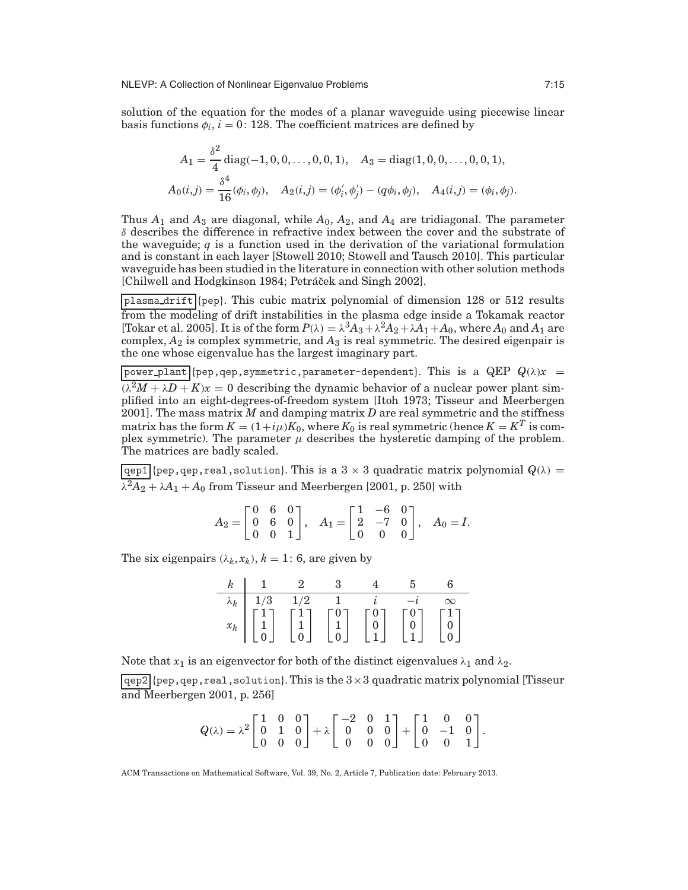solution of the equation for the modes of a planar waveguide using piecewise linear basis functions  $\phi_i$ ,  $i = 0$ : 128. The coefficient matrices are defined by

$$
A_1 = \frac{\delta^2}{4} \operatorname{diag}(-1, 0, 0, \dots, 0, 0, 1), \quad A_3 = \operatorname{diag}(1, 0, 0, \dots, 0, 0, 1),
$$
  

$$
A_0(i,j) = \frac{\delta^4}{16}(\phi_i, \phi_j), \quad A_2(i,j) = (\phi'_i, \phi'_j) - (q\phi_i, \phi_j), \quad A_4(i,j) = (\phi_i, \phi_j).
$$

Thus  $A_1$  and  $A_3$  are diagonal, while  $A_0$ ,  $A_2$ , and  $A_4$  are tridiagonal. The parameter  $\delta$  describes the difference in refractive index between the cover and the substrate of the waveguide; *q* is a function used in the derivation of the variational formulation and is constant in each layer [Stowell 2010; Stowell and Tausch 2010]. This particular waveguide has been studied in the literature in connection with other solution methods [Chilwell and Hodgkinson 1984; Petráček and Singh 2002].

plasma drift {pep}. This cubic matrix polynomial of dimension 128 or 512 results from the modeling of drift instabilities in the plasma edge inside a Tokamak reactor [Tokar et al. 2005]. It is of the form  $P(\lambda) = \lambda^3 A_3 + \lambda^2 A_2 + \lambda A_1 + A_0$ , where  $A_0$  and  $A_1$  are complex,  $A_2$  is complex symmetric, and  $A_3$  is real symmetric. The desired eigenpair is the one whose eigenvalue has the largest imaginary part.

 $\begin{bmatrix} \text{power\_plant} \end{bmatrix}$ {pep,qep,symmetric,parameter-dependent}. This is a QEP  $Q(\lambda)x =$  $(\lambda^2 M + \lambda D + K)x = 0$  describing the dynamic behavior of a nuclear power plant simplified into an eight-degrees-of-freedom system [Itoh 1973; Tisseur and Meerbergen 2001]. The mass matrix *M* and damping matrix *D* are real symmetric and the stiffness matrix has the form  $K = (1+i\mu)K_0,$  where  $K_0$  is real symmetric (hence  $K = K^T$  is complex symmetric). The parameter  $\mu$  describes the hysteretic damping of the problem. The matrices are badly scaled.

 $\sqrt{qep1}$  {pep, qep, real, solution}. This is a 3 × 3 quadratic matrix polynomial  $Q(\lambda)$  =  $\lambda^2 A_2 + \lambda A_1 + A_0$  from Tisseur and Meerbergen [2001, p. 250] with

|  |  |  |  | $A_2 = \begin{bmatrix} 0 & 6 & 0 \\ 0 & 6 & 0 \\ 0 & 0 & 1 \end{bmatrix}$ , $A_1 = \begin{bmatrix} 1 & -6 & 0 \\ 2 & -7 & 0 \\ 0 & 0 & 0 \end{bmatrix}$ , $A_0 = I$ . |
|--|--|--|--|-----------------------------------------------------------------------------------------------------------------------------------------------------------------------|

The six eigenpairs  $(\lambda_k, x_k)$ ,  $k = 1$ : 6, are given by

|  | $k$ 1 2 3                                                                                                                                                                                                                                                                                                                                                                                                          |  |  |
|--|--------------------------------------------------------------------------------------------------------------------------------------------------------------------------------------------------------------------------------------------------------------------------------------------------------------------------------------------------------------------------------------------------------------------|--|--|
|  |                                                                                                                                                                                                                                                                                                                                                                                                                    |  |  |
|  | $\begin{array}{c ccccc} \lambda_k & 1/3 & 1/2 & 1 & i & -i & \infty \\ \hline x_k & \begin{bmatrix} 1 \\ 1 \\ 0 \end{bmatrix} & \begin{bmatrix} 1 \\ 1 \\ 0 \end{bmatrix} & \begin{bmatrix} 0 \\ 1 \\ 0 \end{bmatrix} & \begin{bmatrix} 0 \\ 0 \\ 1 \end{bmatrix} & \begin{bmatrix} 0 \\ 0 \\ 1 \end{bmatrix} & \begin{bmatrix} 0 \\ 0 \\ 1 \end{bmatrix} & \begin{bmatrix} 1 \\ 0 \\ 0 \end{bmatrix} \end{array}$ |  |  |
|  |                                                                                                                                                                                                                                                                                                                                                                                                                    |  |  |

Note that  $x_1$  is an eigenvector for both of the distinct eigenvalues  $\lambda_1$  and  $\lambda_2$ .

 $|qep2|$ {pep,qep,real,solution}. This is the  $3\times 3$  quadratic matrix polynomial [Tisseur] and Meerbergen 2001, p. 256]

$$
Q(\lambda) = \lambda^2 \begin{bmatrix} 1 & 0 & 0 \\ 0 & 1 & 0 \\ 0 & 0 & 0 \end{bmatrix} + \lambda \begin{bmatrix} -2 & 0 & 1 \\ 0 & 0 & 0 \\ 0 & 0 & 0 \end{bmatrix} + \begin{bmatrix} 1 & 0 & 0 \\ 0 & -1 & 0 \\ 0 & 0 & 1 \end{bmatrix}.
$$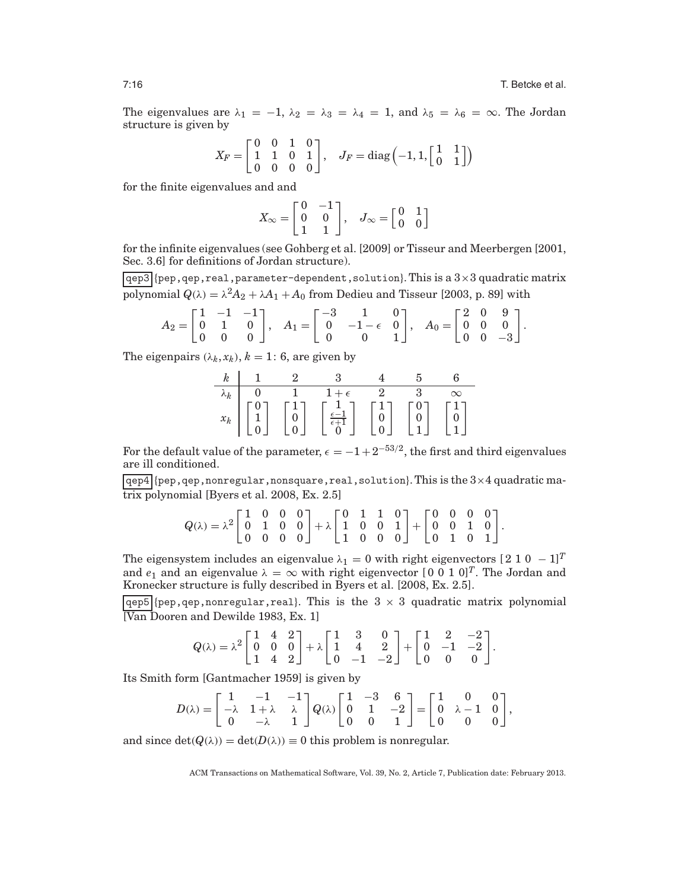The eigenvalues are  $\lambda_1 = -1$ ,  $\lambda_2 = \lambda_3 = \lambda_4 = 1$ , and  $\lambda_5 = \lambda_6 = \infty$ . The Jordan structure is given by

$$
X_F = \begin{bmatrix} 0 & 0 & 1 & 0 \\ 1 & 1 & 0 & 1 \\ 0 & 0 & 0 & 0 \end{bmatrix}, \quad J_F = \text{diag}\left(-1, 1, \begin{bmatrix} 1 & 1 \\ 0 & 1 \end{bmatrix}\right)
$$

for the finite eigenvalues and and

$$
X_{\infty} = \begin{bmatrix} 0 & -1 \\ 0 & 0 \\ 1 & 1 \end{bmatrix}, \quad J_{\infty} = \begin{bmatrix} 0 & 1 \\ 0 & 0 \end{bmatrix}
$$

for the infinite eigenvalues (see Gohberg et al. [2009] or Tisseur and Meerbergen [2001, Sec. 3.6] for definitions of Jordan structure).

 $qep3$  {pep, qep, real, parameter-dependent, solution}. This is a  $3\times3$  quadratic matrix polynomial  $Q(\lambda) = \lambda^2 A_2 + \lambda A_1 + A_0$  from Dedieu and Tisseur [2003, p. 89] with

$$
A_2 = \begin{bmatrix} 1 & -1 & -1 \\ 0 & 1 & 0 \\ 0 & 0 & 0 \end{bmatrix}, \quad A_1 = \begin{bmatrix} -3 & 1 & 0 \\ 0 & -1 - \epsilon & 0 \\ 0 & 0 & 1 \end{bmatrix}, \quad A_0 = \begin{bmatrix} 2 & 0 & 9 \\ 0 & 0 & 0 \\ 0 & 0 & -3 \end{bmatrix}.
$$

The eigenpairs  $(\lambda_k, x_k)$ ,  $k = 1$ : 6, are given by

|  | $k$   1   2   3   3                                                                                                                                                                                                                                                                                                                                                                                | $4 \quad 5 \quad 6$ |  |
|--|----------------------------------------------------------------------------------------------------------------------------------------------------------------------------------------------------------------------------------------------------------------------------------------------------------------------------------------------------------------------------------------------------|---------------------|--|
|  |                                                                                                                                                                                                                                                                                                                                                                                                    |                     |  |
|  | $\begin{array}{c c} \lambda_k & 0 & 1 & 1+\epsilon & 2 & 3 & \infty \\ \hline x_k & \begin{bmatrix} 0 \\ 1 \\ 0 \end{bmatrix} & \begin{bmatrix} 1 \\ 0 \\ 0 \end{bmatrix} & \begin{bmatrix} 1 \\ \frac{\epsilon-1}{\epsilon+1} \\ 0 \end{bmatrix} & \begin{bmatrix} 1 \\ 0 \\ 0 \end{bmatrix} & \begin{bmatrix} 0 \\ 0 \\ 1 \end{bmatrix} & \begin{bmatrix} 1 \\ 0 \\ 1 \end{bmatrix} \end{array}$ |                     |  |

For the default value of the parameter,  $\epsilon = -1 + 2^{-53/2}$ , the first and third eigenvalues are ill conditioned.

 $qep4$  (pep, qep, nonregular, nonsquare, real, solution). This is the  $3\times 4$  quadratic matrix polynomial [Byers et al. 2008, Ex. 2.5]

> $Q(\lambda) = \lambda^2$  $\begin{bmatrix} 1 & 0 & 0 & 0 \end{bmatrix}$ 0100  $\left[\begin{array}{cccc} 1 & 0 & 0 & 0 \ 0 & 1 & 0 & 0 \ 0 & 0 & 0 & 0 \end{array}\right]$  $+ \lambda$  0110 1001  $\left[\begin{array}{cccc} 0 & 1 & 1 & 0 \ 1 & 0 & 0 & 1 \ 1 & 0 & 0 & 0 \end{array}\right]$  $+$  0000 0010  $\left[\begin{array}{cccc} 0 & 0 & 0 & 0\ 0 & 0 & 1 & 0\ 0 & 1 & 0 & 1 \end{array}\right]$ .

The eigensystem includes an eigenvalue  $\lambda_1 = 0$  with right eigenvectors  $[2 1 0 - 1]^T$ and  $e_1$  and an eigenvalue  $\lambda = \infty$  with right eigenvector  $[0 \ 0 \ 1 \ 0]^T$ . The Jordan and Kronecker structure is fully described in Byers et al. [2008, Ex. 2.5].

 $\boxed{\text{qep5}}$  {pep, qep, nonregular, real}. This is the 3  $\times$  3 quadratic matrix polynomial [Van Dooren and Dewilde 1983, Ex. 1]

$$
Q(\lambda) = \lambda^2 \begin{bmatrix} 1 & 4 & 2 \\ 0 & 0 & 0 \\ 1 & 4 & 2 \end{bmatrix} + \lambda \begin{bmatrix} 1 & 3 & 0 \\ 1 & 4 & 2 \\ 0 & -1 & -2 \end{bmatrix} + \begin{bmatrix} 1 & 2 & -2 \\ 0 & -1 & -2 \\ 0 & 0 & 0 \end{bmatrix}.
$$

Its Smith form [Gantmacher 1959] is given by

$$
D(\lambda) = \begin{bmatrix} 1 & -1 & -1 \\ -\lambda & 1 + \lambda & \lambda \\ 0 & -\lambda & 1 \end{bmatrix} Q(\lambda) \begin{bmatrix} 1 & -3 & 6 \\ 0 & 1 & -2 \\ 0 & 0 & 1 \end{bmatrix} = \begin{bmatrix} 1 & 0 & 0 \\ 0 & \lambda - 1 & 0 \\ 0 & 0 & 0 \end{bmatrix},
$$

and since  $det(Q(\lambda)) = det(D(\lambda)) \equiv 0$  this problem is nonregular.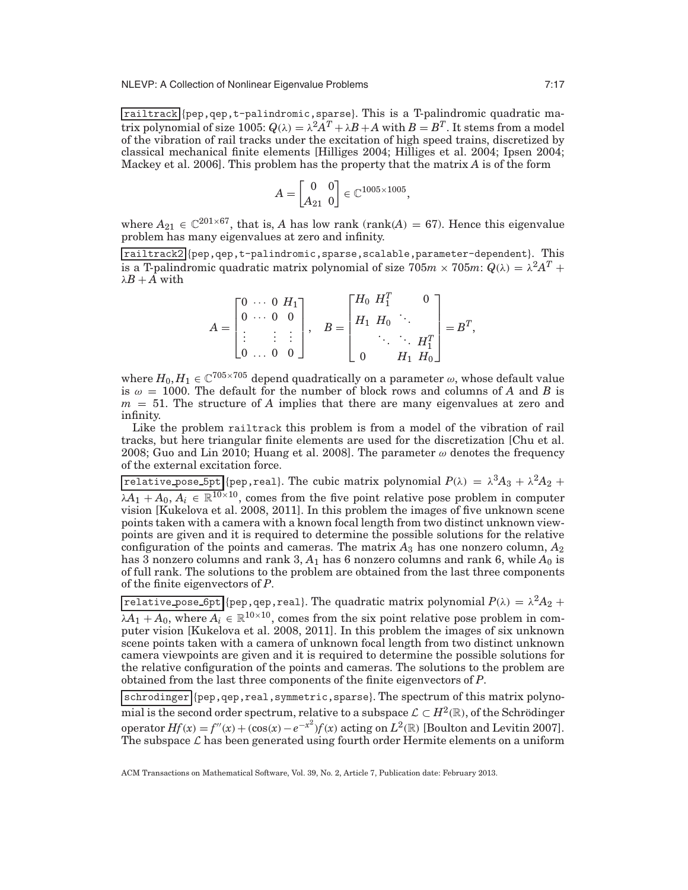railtrack {pep,qep,t-palindromic,sparse}. This is a T-palindromic quadratic matrix polynomial of size 1005:  $Q(\lambda) = \lambda^2 A^T + \lambda B + A$  with  $B = B^T$ . It stems from a model of the vibration of rail tracks under the excitation of high speed trains, discretized by classical mechanical finite elements [Hilliges 2004; Hilliges et al. 2004; Ipsen 2004; Mackey et al. 2006]. This problem has the property that the matrix *A* is of the form

$$
A=\begin{bmatrix} 0 & 0 \\ A_{21} & 0 \end{bmatrix} \in \mathbb{C}^{1005 \times 1005},
$$

where  $A_{21} \in \mathbb{C}^{201 \times 67}$ , that is, *A* has low rank (rank(*A*) = 67). Hence this eigenvalue problem has many eigenvalues at zero and infinity.

railtrack2 {pep,qep,t-palindromic,sparse,scalable,parameter-dependent}. This is a T-palindromic quadratic matrix polynomial of size  $705m \times 705m$ :  $Q(\lambda) = \lambda^2 A^T +$  $λB + A$  with

$$
A = \begin{bmatrix} 0 & \cdots & 0 & H_1 \\ 0 & \cdots & 0 & 0 \\ \vdots & & \vdots & \vdots \\ 0 & \cdots & 0 & 0 \end{bmatrix}, \quad B = \begin{bmatrix} H_0 & H_1^T & & 0 \\ H_1 & H_0 & \ddots & \\ & & \ddots & \ddots & H_1^T \\ 0 & & & H_1 & H_0 \end{bmatrix} = B^T,
$$

where  $H_0, H_1 \in \mathbb{C}^{705 \times 705}$  depend quadratically on a parameter  $\omega$ , whose default value is  $\omega = 1000$ . The default for the number of block rows and columns of *A* and *B* is *m* = 51. The structure of *A* implies that there are many eigenvalues at zero and infinity.

Like the problem railtrack this problem is from a model of the vibration of rail tracks, but here triangular finite elements are used for the discretization [Chu et al. 2008; Guo and Lin 2010; Huang et al. 2008]. The parameter  $\omega$  denotes the frequency of the external excitation force.

relative pose 5pt {pep,real}. The cubic matrix polynomial  $P(\lambda) = \lambda^3 A_3 + \lambda^2 A_2 +$  $\lambda A_1 + A_0, A_i \in \mathbb{R}^{10 \times 10}$ , comes from the five point relative pose problem in computer vision [Kukelova et al. 2008, 2011]. In this problem the images of five unknown scene points taken with a camera with a known focal length from two distinct unknown viewpoints are given and it is required to determine the possible solutions for the relative configuration of the points and cameras. The matrix *A*<sup>3</sup> has one nonzero column, *A*<sup>2</sup> has  $\overline{3}$  nonzero columns and rank  $3, A_1$  has 6 nonzero columns and rank 6, while  $A_0$  is of full rank. The solutions to the problem are obtained from the last three components of the finite eigenvectors of *P*.

 $\boxed{\text{relative\_pose\_6pt}}$  {pep,qep,real}. The quadratic matrix polynomial  $P(\lambda) = \lambda^2 A_2 +$  $\lambda A_1 + A_0$ , where  $A_i \in \mathbb{R}^{10 \times 10}$ , comes from the six point relative pose problem in computer vision [Kukelova et al. 2008, 2011]. In this problem the images of six unknown scene points taken with a camera of unknown focal length from two distinct unknown camera viewpoints are given and it is required to determine the possible solutions for the relative configuration of the points and cameras. The solutions to the problem are obtained from the last three components of the finite eigenvectors of *P*.

schrodinger {pep,qep,real,symmetric,sparse}. The spectrum of this matrix polynomial is the second order spectrum, relative to a subspace  $\mathcal{L} \subset H^2(\mathbb{R})$ , of the Schrödinger operator  $Hf(x) = f''(x) + (\cos(x) - e^{-x^2})f(x)$  acting on  $L^2(\mathbb{R})$  [Boulton and Levitin 2007]. The subspace  $\mathcal L$  has been generated using fourth order Hermite elements on a uniform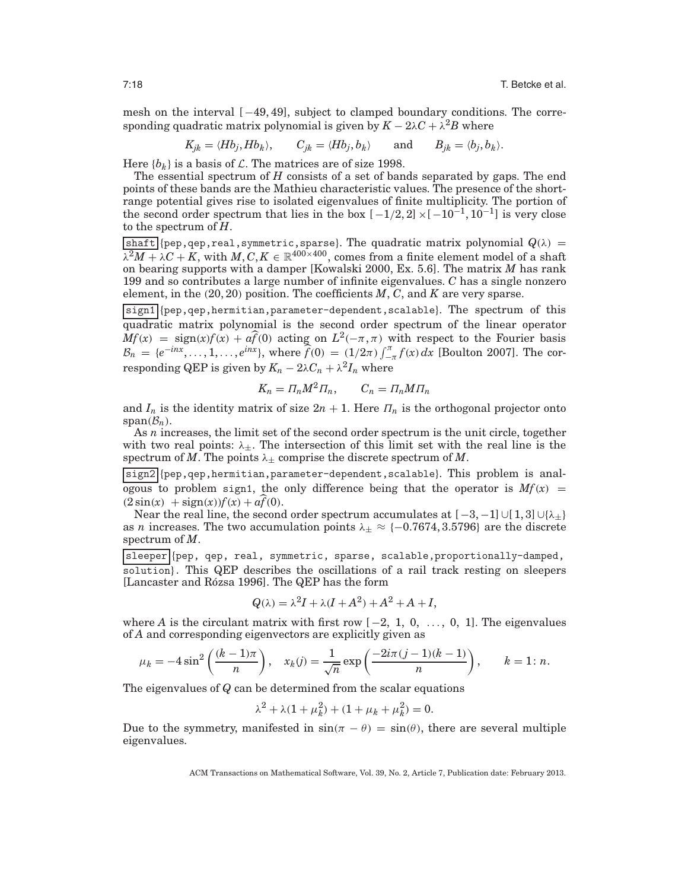mesh on the interval  $[-49, 49]$ , subject to clamped boundary conditions. The corresponding quadratic matrix polynomial is given by  $K - 2\lambda C + \lambda^2 B$  where

$$
K_{jk} = \langle Hb_j, Hb_k \rangle
$$
,  $C_{jk} = \langle Hb_j, b_k \rangle$  and  $B_{jk} = \langle b_j, b_k \rangle$ .

Here  ${b_k}$  is a basis of *L*. The matrices are of size 1998.

The essential spectrum of *H* consists of a set of bands separated by gaps. The end points of these bands are the Mathieu characteristic values. The presence of the shortrange potential gives rise to isolated eigenvalues of finite multiplicity. The portion of the second order spectrum that lies in the box  $[-1/2, 2] \times [-10^{-1}, 10^{-1}]$  is very close to the spectrum of *H*.

shaft {pep,qep,real,symmetric,sparse}. The quadratic matrix polynomial  $Q(\lambda)$  =  $\lambda^2 M + \lambda C + K$ , with  $M, C, K \in \mathbb{R}^{400 \times 400}$ , comes from a finite element model of a shaft on bearing supports with a damper [Kowalski 2000, Ex. 5.6]. The matrix *M* has rank 199 and so contributes a large number of infinite eigenvalues. *C* has a single nonzero element, in the (20, 20) position. The coefficients *M*, *C*, and *K* are very sparse.

sign1 {pep,qep,hermitian,parameter-dependent,scalable}. The spectrum of this quadratic matrix polynomial is the second order spectrum of the linear operator  $Mf(x) = sign(x)f(x) + a\hat{f}(0)$  acting on  $L^2(-\pi, \pi)$  with respect to the Fourier basis  $B_n = \{e^{-inx}, \ldots, 1, \ldots, e^{inx}\},$  where  $\hat{f}(0) = (1/2\pi) \int_{-\pi}^{\pi} f(x) dx$  [Boulton 2007]. The corresponding QEP is given by  $K_n - 2\lambda C_n + \lambda^2 I_n$  where

$$
K_n = \Pi_n M^2 \Pi_n, \qquad C_n = \Pi_n M \Pi_n
$$

and  $I_n$  is the identity matrix of size  $2n + 1$ . Here  $\prod_n$  is the orthogonal projector onto span $(\mathcal{B}_n)$ .

As *n* increases, the limit set of the second order spectrum is the unit circle, together with two real points:  $\lambda_{\pm}$ . The intersection of this limit set with the real line is the spectrum of *M*. The points  $\lambda_{\pm}$  comprise the discrete spectrum of *M*.

sign2 {pep,qep,hermitian,parameter-dependent,scalable}. This problem is analogous to problem sign1, the only difference being that the operator is  $Mf(x)$  =  $(2 \sin(x) + \text{sign}(x))f(x) + af(0).$ 

Near the real line, the second order spectrum accumulates at  $[-3, -1] \cup [1, 3] \cup \{\lambda_{\pm}\}\$ as *n* increases. The two accumulation points  $\lambda_{\pm} \approx \{-0.7674, 3.5796\}$  are the discrete spectrum of *M*.

sleeper {pep, qep, real, symmetric, sparse, scalable, proportionally-damped, solution}. This QEP describes the oscillations of a rail track resting on sleepers [Lancaster and Rózsa 1996]. The QEP has the form

$$
Q(\lambda) = \lambda^2 I + \lambda (I + A^2) + A^2 + A + I,
$$

where *A* is the circulant matrix with first row  $[-2, 1, 0, \ldots, 0, 1]$ . The eigenvalues of *A* and corresponding eigenvectors are explicitly given as

$$
\mu_k = -4 \sin^2 \left( \frac{(k-1)\pi}{n} \right), \quad x_k(j) = \frac{1}{\sqrt{n}} \exp \left( \frac{-2i\pi (j-1)(k-1)}{n} \right), \qquad k = 1 \colon n.
$$

The eigenvalues of *Q* can be determined from the scalar equations

$$
\lambda^2 + \lambda (1 + \mu_k^2) + (1 + \mu_k + \mu_k^2) = 0.
$$

Due to the symmetry, manifested in  $\sin(\pi - \theta) = \sin(\theta)$ , there are several multiple eigenvalues.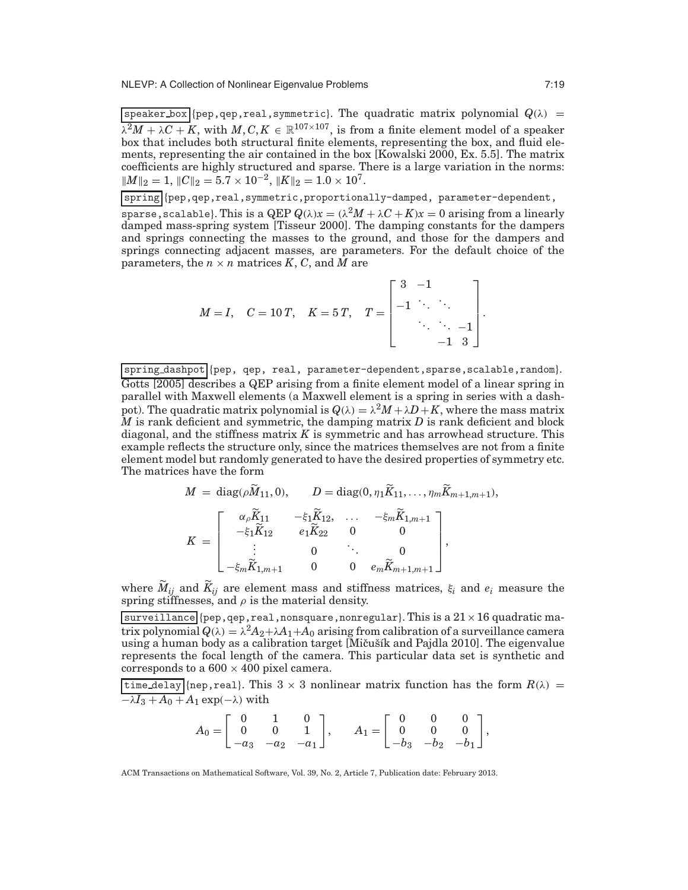$s$ peaker\_box {pep,qep,real,symmetric}. The quadratic matrix polynomial  $Q(\lambda)$  =  $\lambda^2 M + \lambda C + K$ , with  $M, C, K \in \mathbb{R}^{107 \times 107}$ , is from a finite element model of a speaker box that includes both structural finite elements, representing the box, and fluid elements, representing the air contained in the box [Kowalski 2000, Ex. 5.5]. The matrix coefficients are highly structured and sparse. There is a large variation in the norms:  $\|M\|_2 = 1$ ,  $\|C\|_2 = 5.7 \times 10^{-2}$ ,  $\|K\|_2 = 1.0 \times 10^7$ .

spring {pep,qep,real,symmetric,proportionally-damped, parameter-dependent,

sparse,scalable}. This is a  $\text{QEP } Q(\lambda) x = (\lambda^2 M + \lambda C + K) x = 0$  arising from a linearly damped mass-spring system [Tisseur 2000]. The damping constants for the dampers and springs connecting the masses to the ground, and those for the dampers and springs connecting adjacent masses, are parameters. For the default choice of the parameters, the  $n \times n$  matrices  $K$ ,  $C$ , and  $\tilde{M}$  are

$$
M = I, \quad C = 10 \, T, \quad K = 5 \, T, \quad T = \begin{bmatrix} 3 & -1 & & \\ -1 & \ddots & \ddots & \\ & \ddots & \ddots & -1 \\ & & -1 & 3 \end{bmatrix}.
$$

spring\_dashpot {pep, qep, real, parameter-dependent, sparse, scalable, random}. Gotts [2005] describes a QEP arising from a finite element model of a linear spring in parallel with Maxwell elements (a Maxwell element is a spring in series with a dashpot). The quadratic matrix polynomial is  $Q(\lambda) = \lambda^2 M + \lambda D + K$ , where the mass matrix *M* is rank deficient and symmetric, the damping matrix *D* is rank deficient and block diagonal, and the stiffness matrix *K* is symmetric and has arrowhead structure. This example reflects the structure only, since the matrices themselves are not from a finite element model but randomly generated to have the desired properties of symmetry etc. The matrices have the form

$$
M = \text{diag}(\rho \widetilde{M}_{11}, 0), \qquad D = \text{diag}(0, \eta_1 \widetilde{K}_{11}, \dots, \eta_m \widetilde{K}_{m+1,m+1}),
$$

$$
K = \begin{bmatrix} \alpha_\rho \widetilde{K}_{11} & -\xi_1 \widetilde{K}_{12}, & \dots & -\xi_m \widetilde{K}_{1,m+1} \\ -\xi_1 \widetilde{K}_{12} & e_1 \widetilde{K}_{22} & 0 & 0 \\ \vdots & 0 & \ddots & 0 \\ -\xi_m \widetilde{K}_{1,m+1} & 0 & 0 & e_m \widetilde{K}_{m+1,m+1} \end{bmatrix},
$$

where  $M_{ij}$  and  $K_{ij}$  are element mass and stiffness matrices,  $\xi_i$  and  $e_i$  measure the spring stiffnesses, and  $\rho$  is the material density.

surveillance {pep,qep,real,nonsquare,nonregular}. This is a  $21 \times 16$  quadratic matrix polynomial  $Q(\lambda) = \lambda^2 A_2 + \lambda A_1 + A_0$  arising from calibration of a surveillance camera using a human body as a calibration target [Mičušík and Pajdla 2010]. The eigenvalue represents the focal length of the camera. This particular data set is synthetic and corresponds to a  $600 \times 400$  pixel camera.

time delay {nep, real}. This 3  $\times$  3 nonlinear matrix function has the form  $R(\lambda)$  =  $-\lambda I_3 + A_0 + A_1 \exp(-\lambda)$  with

$$
A_0 = \begin{bmatrix} 0 & 1 & 0 \\ 0 & 0 & 1 \\ -a_3 & -a_2 & -a_1 \end{bmatrix}, \qquad A_1 = \begin{bmatrix} 0 & 0 & 0 \\ 0 & 0 & 0 \\ -b_3 & -b_2 & -b_1 \end{bmatrix},
$$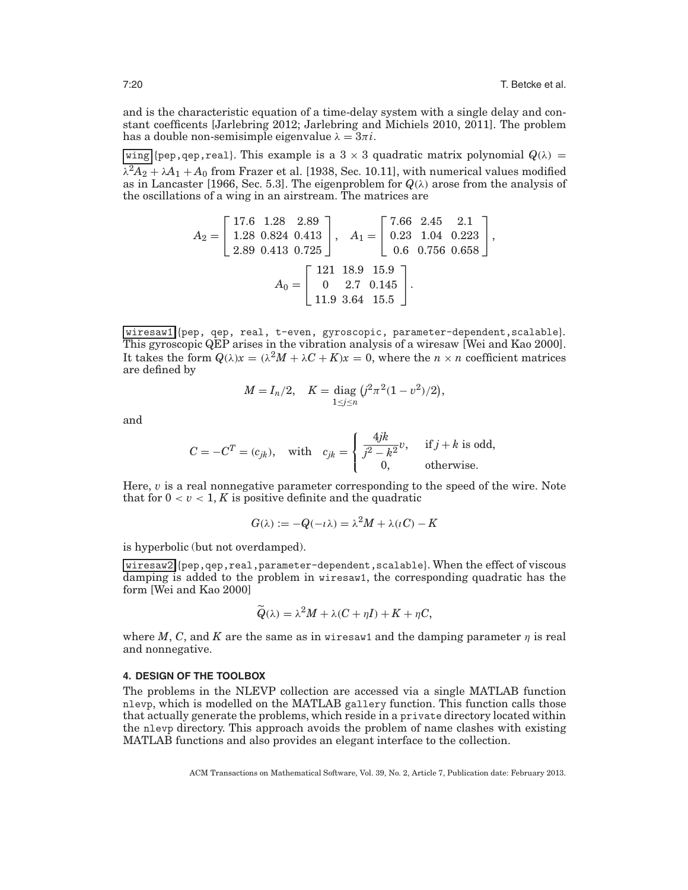and is the characteristic equation of a time-delay system with a single delay and constant coefficents [Jarlebring 2012; Jarlebring and Michiels 2010, 2011]. The problem has a double non-semisimple eigenvalue  $\lambda = 3\pi i$ .

wing {pep, qep, real}. This example is a 3  $\times$  3 quadratic matrix polynomial  $Q(\lambda)$  =  $\lambda^2 A_2 + \lambda A_1 + A_0$  from Frazer et al. [1938, Sec. 10.11], with numerical values modified as in Lancaster [1966, Sec. 5.3]. The eigenproblem for  $Q(\lambda)$  arose from the analysis of the oscillations of a wing in an airstream. The matrices are

$$
A_2 = \begin{bmatrix} 17.6 & 1.28 & 2.89 \\ 1.28 & 0.824 & 0.413 \\ 2.89 & 0.413 & 0.725 \end{bmatrix}, \quad A_1 = \begin{bmatrix} 7.66 & 2.45 & 2.1 \\ 0.23 & 1.04 & 0.223 \\ 0.6 & 0.756 & 0.658 \end{bmatrix},
$$

$$
A_0 = \begin{bmatrix} 121 & 18.9 & 15.9 \\ 0 & 2.7 & 0.145 \\ 11.9 & 3.64 & 15.5 \end{bmatrix}.
$$

wiresaw1 {pep, qep, real, t-even, gyroscopic, parameter-dependent, scalable}. This gyroscopic QEP arises in the vibration analysis of a wiresaw [Wei and Kao 2000]. It takes the form  $Q(\lambda)x = (\lambda^2 M + \lambda C + K)x = 0$ , where the  $n \times n$  coefficient matrices are defined by

$$
M = I_n/2, \quad K = \text{diag } (j^2 \pi^2 (1 - v^2)/2),
$$
  

$$
1 \le j \le n
$$

and

$$
C = -CT = (c_{jk}), \text{ with } c_{jk} = \begin{cases} \frac{4jk}{j^2 - k^2}v, & \text{if } j + k \text{ is odd,} \\ 0, & \text{otherwise.} \end{cases}
$$

Here, *v* is a real nonnegative parameter corresponding to the speed of the wire. Note that for  $0 < v < 1$ , K is positive definite and the quadratic

$$
G(\lambda) := -Q(-i\lambda) = \lambda^2 M + \lambda(iC) - K
$$

is hyperbolic (but not overdamped).

wiresaw2 {pep,qep,real,parameter-dependent,scalable}. When the effect of viscous damping is added to the problem in wiresaw1, the corresponding quadratic has the form [Wei and Kao 2000]

$$
\widetilde{Q}(\lambda) = \lambda^2 M + \lambda (C + \eta I) + K + \eta C,
$$

where *M*, *C*, and *K* are the same as in wiresaw1 and the damping parameter  $\eta$  is real and nonnegative.

## **4. DESIGN OF THE TOOLBOX**

The problems in the NLEVP collection are accessed via a single MATLAB function nlevp, which is modelled on the MATLAB gallery function. This function calls those that actually generate the problems, which reside in a private directory located within the nlevp directory. This approach avoids the problem of name clashes with existing MATLAB functions and also provides an elegant interface to the collection.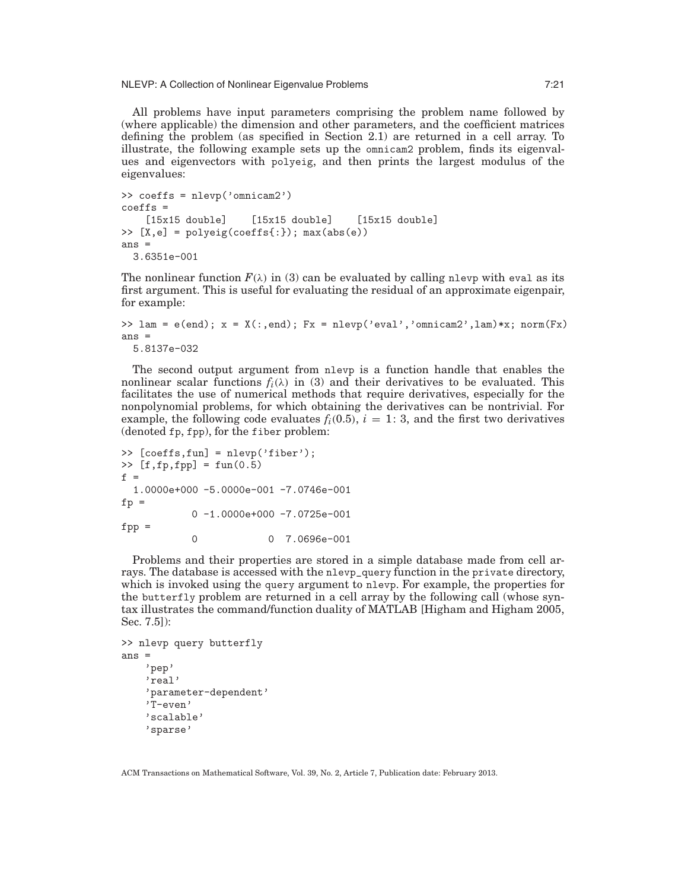NLEVP: A Collection of Nonlinear Eigenvalue Problems 7:21

All problems have input parameters comprising the problem name followed by (where applicable) the dimension and other parameters, and the coefficient matrices defining the problem (as specified in Section 2.1) are returned in a cell array. To illustrate, the following example sets up the omnicam2 problem, finds its eigenvalues and eigenvectors with polyeig, and then prints the largest modulus of the eigenvalues:

```
>> coeffs = nlevp('omnicam2')
coeffs =[15x15 double] [15x15 double] [15x15 double]
>> [X,e] = polyeig(coeffs{:}); max(abs(e))
ans =3.6351e-001
```
The nonlinear function  $F(\lambda)$  in (3) can be evaluated by calling nlevp with eval as its first argument. This is useful for evaluating the residual of an approximate eigenpair, for example:

```
>> lam = e(end); x = X(:,end); Fx = nlevp('eval', 'omnicam2',lam)*x; norm(Fx)ans =
  5.8137e-032
```
The second output argument from nlevp is a function handle that enables the nonlinear scalar functions  $f_i(\lambda)$  in (3) and their derivatives to be evaluated. This facilitates the use of numerical methods that require derivatives, especially for the nonpolynomial problems, for which obtaining the derivatives can be nontrivial. For example, the following code evaluates  $f_i(0.5)$ ,  $i = 1:3$ , and the first two derivatives (denoted fp, fpp), for the fiber problem:

```
>> [coeffs,fun] = nlevp('fiber');
\triangleright [f,fp,fpp] = fun(0.5)
f =1.0000e+000 -5.0000e-001 -7.0746e-001
fp =0 -1.0000e+000 -7.0725e-001
fpp =0  0 7.0696e-001
```
Problems and their properties are stored in a simple database made from cell arrays. The database is accessed with the nlevp\_query function in the private directory, which is invoked using the query argument to nlevp. For example, the properties for the butterfly problem are returned in a cell array by the following call (whose syntax illustrates the command/function duality of MATLAB [Higham and Higham 2005, Sec. 7.5]):

```
>> nlevp query butterfly
ans =
    'pep'
    'real'
    'parameter-dependent'
    'T-even'
    'scalable'
    'sparse'
```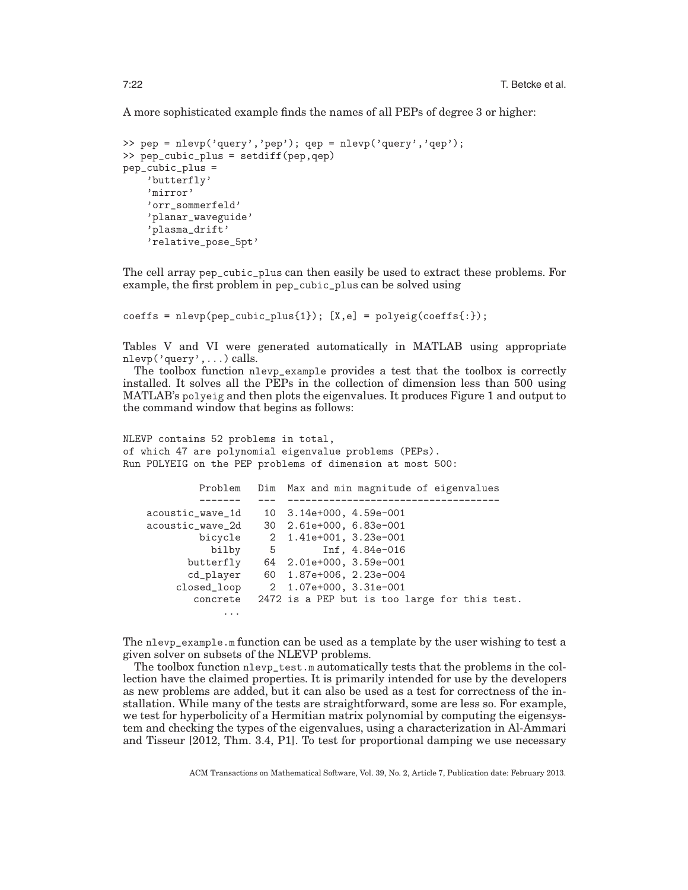A more sophisticated example finds the names of all PEPs of degree 3 or higher:

```
>> pep = nlevp('query','pep'); qep = nlevp('query','qep');
>> pep_cubic_plus = setdiff(pep,qep)
pep_cubic_plus =
    'butterfly'
    'mirror'
    'orr_sommerfeld'
    'planar_waveguide'
    'plasma_drift'
    'relative_pose_5pt'
```
The cell array pep\_cubic\_plus can then easily be used to extract these problems. For example, the first problem in pep\_cubic\_plus can be solved using

 $coeffs = nlevp(pep\_cubic\_plus{1})$ ;  $[X,e] = polyeig(coeffs[:))$ ;

Tables V and VI were generated automatically in MATLAB using appropriate nlevp('query',...) calls.

The toolbox function nlevp\_example provides a test that the toolbox is correctly installed. It solves all the PEPs in the collection of dimension less than 500 using MATLAB's polyeig and then plots the eigenvalues. It produces Figure 1 and output to the command window that begins as follows:

```
NLEVP contains 52 problems in total,
of which 47 are polynomial eigenvalue problems (PEPs).
Run POLYEIG on the PEP problems of dimension at most 500:
```

| Problem          |   | Dim Max and min magnitude of eigenvalues      |
|------------------|---|-----------------------------------------------|
|                  |   |                                               |
| acoustic_wave_1d |   | 10 3.14e+000, 4.59e-001                       |
| acoustic_wave_2d |   | 30 2.61e+000, 6.83e-001                       |
| bicycle          |   | 2 1.41e+001, 3.23e-001                        |
| bilby            | 5 | Inf, 4.84e-016                                |
| butterfly        |   | 64 2.01e+000, 3.59e-001                       |
| cd_player        |   | 60 1.87e+006, 2.23e-004                       |
| closed_loop      |   | 2 1.07e+000, 3.31e-001                        |
| concrete         |   | 2472 is a PEP but is too large for this test. |
| $\cdots$         |   |                                               |

The nlevp\_example.m function can be used as a template by the user wishing to test a given solver on subsets of the NLEVP problems.

The toolbox function nlevp\_test.m automatically tests that the problems in the collection have the claimed properties. It is primarily intended for use by the developers as new problems are added, but it can also be used as a test for correctness of the installation. While many of the tests are straightforward, some are less so. For example, we test for hyperbolicity of a Hermitian matrix polynomial by computing the eigensystem and checking the types of the eigenvalues, using a characterization in Al-Ammari and Tisseur [2012, Thm. 3.4, P1]. To test for proportional damping we use necessary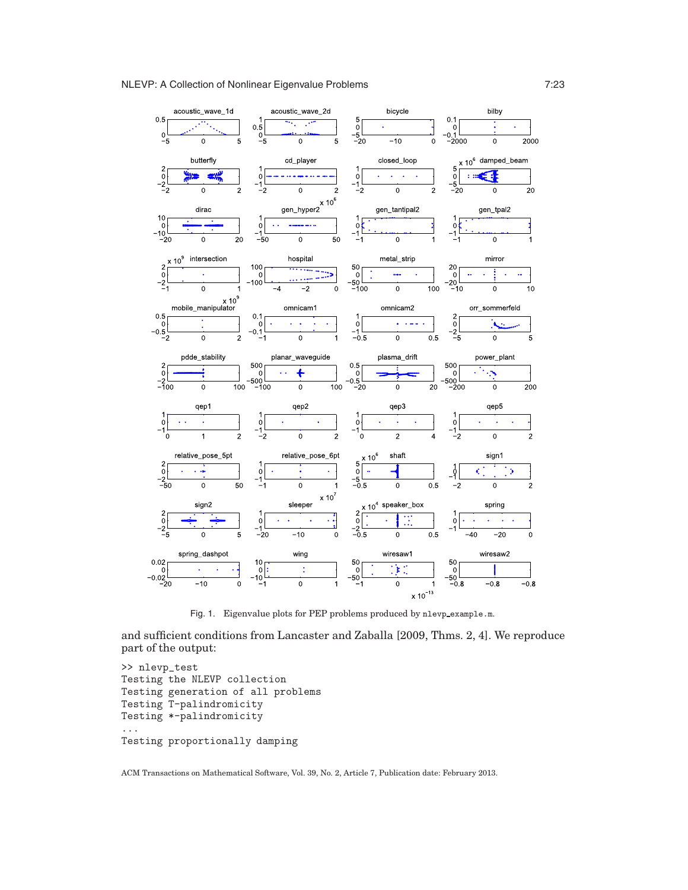## NLEVP: A Collection of Nonlinear Eigenvalue Problems **7:23** 7:23



Fig. 1. Eigenvalue plots for PEP problems produced by nlevp example.m.

and sufficient conditions from Lancaster and Zaballa [2009, Thms. 2, 4]. We reproduce part of the output:

```
>> nlevp_test
Testing the NLEVP collection
Testing generation of all problems
Testing T-palindromicity
Testing *-palindromicity
...
Testing proportionally damping
```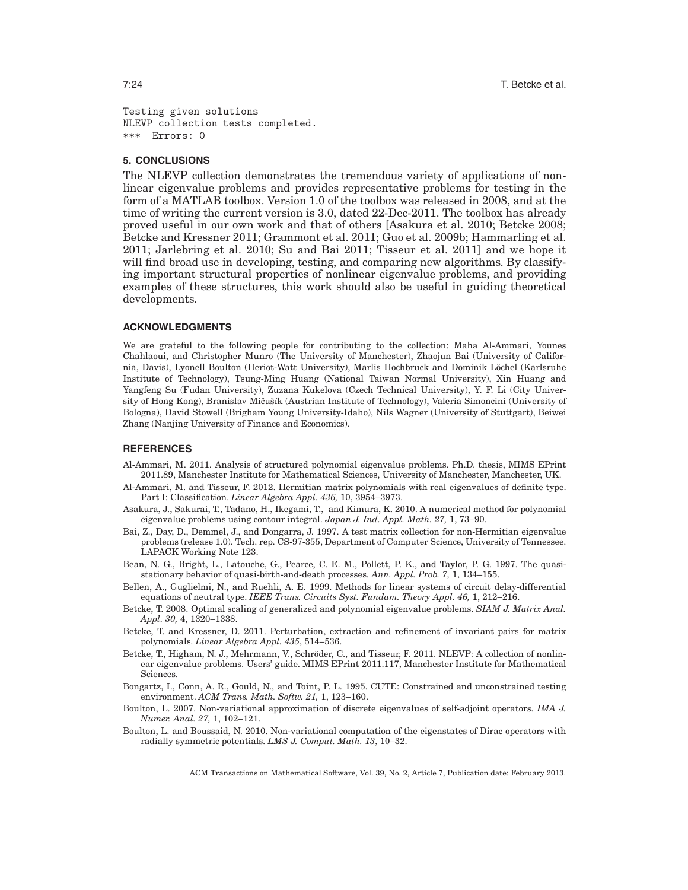Testing given solutions NLEVP collection tests completed. \*\*\* Errors: 0

## **5. CONCLUSIONS**

The NLEVP collection demonstrates the tremendous variety of applications of nonlinear eigenvalue problems and provides representative problems for testing in the form of a MATLAB toolbox. Version 1.0 of the toolbox was released in 2008, and at the time of writing the current version is 3.0, dated 22-Dec-2011. The toolbox has already proved useful in our own work and that of others [Asakura et al. 2010; Betcke 2008; Betcke and Kressner 2011; Grammont et al. 2011; Guo et al. 2009b; Hammarling et al. 2011; Jarlebring et al. 2010; Su and Bai 2011; Tisseur et al. 2011] and we hope it will find broad use in developing, testing, and comparing new algorithms. By classifying important structural properties of nonlinear eigenvalue problems, and providing examples of these structures, this work should also be useful in guiding theoretical developments.

## **ACKNOWLEDGMENTS**

We are grateful to the following people for contributing to the collection: Maha Al-Ammari, Younes Chahlaoui, and Christopher Munro (The University of Manchester), Zhaojun Bai (University of California, Davis), Lyonell Boulton (Heriot-Watt University), Marlis Hochbruck and Dominik Löchel (Karlsruhe Institute of Technology), Tsung-Ming Huang (National Taiwan Normal University), Xin Huang and Yangfeng Su (Fudan University), Zuzana Kukelova (Czech Technical University), Y. F. Li (City University of Hong Kong), Branislav Mičušík (Austrian Institute of Technology), Valeria Simoncini (University of Bologna), David Stowell (Brigham Young University-Idaho), Nils Wagner (University of Stuttgart), Beiwei Zhang (Nanjing University of Finance and Economics).

## **REFERENCES**

- Al-Ammari, M. 2011. Analysis of structured polynomial eigenvalue problems. Ph.D. thesis, MIMS EPrint 2011.89, Manchester Institute for Mathematical Sciences, University of Manchester, Manchester, UK.
- Al-Ammari, M. and Tisseur, F. 2012. Hermitian matrix polynomials with real eigenvalues of definite type. Part I: Classification. *Linear Algebra Appl. 436,* 10, 3954–3973.
- Asakura, J., Sakurai, T., Tadano, H., Ikegami, T., and Kimura, K. 2010. A numerical method for polynomial eigenvalue problems using contour integral. *Japan J. Ind. Appl. Math. 27,* 1, 73–90.
- Bai, Z., Day, D., Demmel, J., and Dongarra, J. 1997. A test matrix collection for non-Hermitian eigenvalue problems (release 1.0). Tech. rep. CS-97-355, Department of Computer Science, University of Tennessee. LAPACK Working Note 123.
- Bean, N. G., Bright, L., Latouche, G., Pearce, C. E. M., Pollett, P. K., and Taylor, P. G. 1997. The quasistationary behavior of quasi-birth-and-death processes. *Ann. Appl. Prob. 7,* 1, 134–155.
- Bellen, A., Guglielmi, N., and Ruehli, A. E. 1999. Methods for linear systems of circuit delay-differential equations of neutral type. *IEEE Trans. Circuits Syst. Fundam. Theory Appl. 46,* 1, 212–216.
- Betcke, T. 2008. Optimal scaling of generalized and polynomial eigenvalue problems. *SIAM J. Matrix Anal. Appl. 30,* 4, 1320–1338.
- Betcke, T. and Kressner, D. 2011. Perturbation, extraction and refinement of invariant pairs for matrix polynomials. *Linear Algebra Appl. 435*, 514–536.
- Betcke, T., Higham, N. J., Mehrmann, V., Schröder, C., and Tisseur, F. 2011. NLEVP: A collection of nonlinear eigenvalue problems. Users' guide. MIMS EPrint 2011.117, Manchester Institute for Mathematical Sciences.
- Bongartz, I., Conn, A. R., Gould, N., and Toint, P. L. 1995. CUTE: Constrained and unconstrained testing environment. *ACM Trans. Math. Softw. 21,* 1, 123–160.
- Boulton, L. 2007. Non-variational approximation of discrete eigenvalues of self-adjoint operators. *IMA J. Numer. Anal. 27,* 1, 102–121.
- Boulton, L. and Boussaid, N. 2010. Non-variational computation of the eigenstates of Dirac operators with radially symmetric potentials. *LMS J. Comput. Math. 13*, 10–32.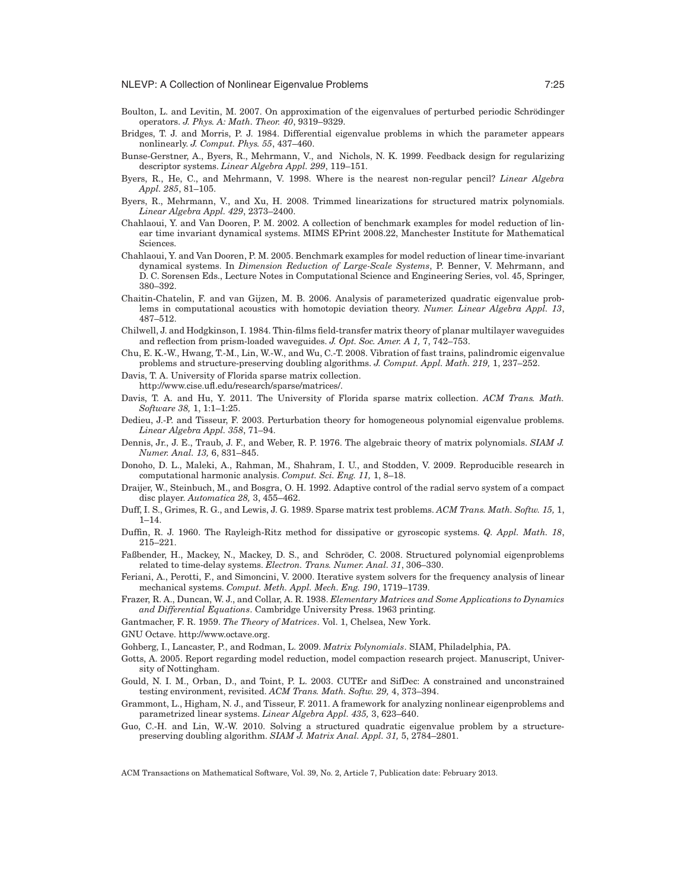- Boulton, L. and Levitin, M. 2007. On approximation of the eigenvalues of perturbed periodic Schrödinger operators. *J. Phys. A: Math. Theor. 40*, 9319–9329.
- Bridges, T. J. and Morris, P. J. 1984. Differential eigenvalue problems in which the parameter appears nonlinearly. *J. Comput. Phys. 55*, 437–460.
- Bunse-Gerstner, A., Byers, R., Mehrmann, V., and Nichols, N. K. 1999. Feedback design for regularizing descriptor systems. *Linear Algebra Appl. 299*, 119–151.
- Byers, R., He, C., and Mehrmann, V. 1998. Where is the nearest non-regular pencil? *Linear Algebra Appl. 285*, 81–105.
- Byers, R., Mehrmann, V., and Xu, H. 2008. Trimmed linearizations for structured matrix polynomials. *Linear Algebra Appl. 429*, 2373–2400.
- Chahlaoui, Y. and Van Dooren, P. M. 2002. A collection of benchmark examples for model reduction of linear time invariant dynamical systems. MIMS EPrint 2008.22, Manchester Institute for Mathematical Sciences.
- Chahlaoui, Y. and Van Dooren, P. M. 2005. Benchmark examples for model reduction of linear time-invariant dynamical systems. In *Dimension Reduction of Large-Scale Systems*, P. Benner, V. Mehrmann, and D. C. Sorensen Eds., Lecture Notes in Computational Science and Engineering Series, vol. 45, Springer, 380–392.
- Chaitin-Chatelin, F. and van Gijzen, M. B. 2006. Analysis of parameterized quadratic eigenvalue problems in computational acoustics with homotopic deviation theory. *Numer. Linear Algebra Appl. 13*, 487–512.
- Chilwell, J. and Hodgkinson, I. 1984. Thin-films field-transfer matrix theory of planar multilayer waveguides and reflection from prism-loaded waveguides. *J. Opt. Soc. Amer. A 1,* 7, 742–753.
- Chu, E. K.-W., Hwang, T.-M., Lin, W.-W., and Wu, C.-T. 2008. Vibration of fast trains, palindromic eigenvalue problems and structure-preserving doubling algorithms. *J. Comput. Appl. Math. 219,* 1, 237–252.
- Davis, T. A. University of Florida sparse matrix collection. http://www.cise.ufl.edu/research/sparse/matrices/.
- Davis, T. A. and Hu, Y. 2011. The University of Florida sparse matrix collection. *ACM Trans. Math. Software 38,* 1, 1:1–1:25.
- Dedieu, J.-P. and Tisseur, F. 2003. Perturbation theory for homogeneous polynomial eigenvalue problems. *Linear Algebra Appl. 358*, 71–94.
- Dennis, Jr., J. E., Traub, J. F., and Weber, R. P. 1976. The algebraic theory of matrix polynomials. *SIAM J. Numer. Anal. 13,* 6, 831–845.
- Donoho, D. L., Maleki, A., Rahman, M., Shahram, I. U., and Stodden, V. 2009. Reproducible research in computational harmonic analysis. *Comput. Sci. Eng. 11,* 1, 8–18.
- Draijer, W., Steinbuch, M., and Bosgra, O. H. 1992. Adaptive control of the radial servo system of a compact disc player. *Automatica 28,* 3, 455–462.
- Duff, I. S., Grimes, R. G., and Lewis, J. G. 1989. Sparse matrix test problems. *ACM Trans. Math. Softw. 15,* 1, 1–14.
- Duffin, R. J. 1960. The Rayleigh-Ritz method for dissipative or gyroscopic systems. *Q. Appl. Math. 18*, 215–221.
- Faßbender, H., Mackey, N., Mackey, D. S., and Schröder, C. 2008. Structured polynomial eigenproblems related to time-delay systems. *Electron. Trans. Numer. Anal. 31*, 306–330.
- Feriani, A., Perotti, F., and Simoncini, V. 2000. Iterative system solvers for the frequency analysis of linear mechanical systems. *Comput. Meth. Appl. Mech. Eng. 190*, 1719–1739.
- Frazer, R. A., Duncan, W. J., and Collar, A. R. 1938. *Elementary Matrices and Some Applications to Dynamics and Differential Equations*. Cambridge University Press. 1963 printing.
- Gantmacher, F. R. 1959. *The Theory of Matrices*. Vol. 1, Chelsea, New York.
- GNU Octave. http://www.octave.org.
- Gohberg, I., Lancaster, P., and Rodman, L. 2009. *Matrix Polynomials*. SIAM, Philadelphia, PA.
- Gotts, A. 2005. Report regarding model reduction, model compaction research project. Manuscript, University of Nottingham.
- Gould, N. I. M., Orban, D., and Toint, P. L. 2003. CUTEr and SifDec: A constrained and unconstrained testing environment, revisited. *ACM Trans. Math. Softw. 29,* 4, 373–394.
- Grammont, L., Higham, N. J., and Tisseur, F. 2011. A framework for analyzing nonlinear eigenproblems and parametrized linear systems. *Linear Algebra Appl. 435,* 3, 623–640.
- Guo, C.-H. and Lin, W.-W. 2010. Solving a structured quadratic eigenvalue problem by a structurepreserving doubling algorithm. *SIAM J. Matrix Anal. Appl. 31,* 5, 2784–2801.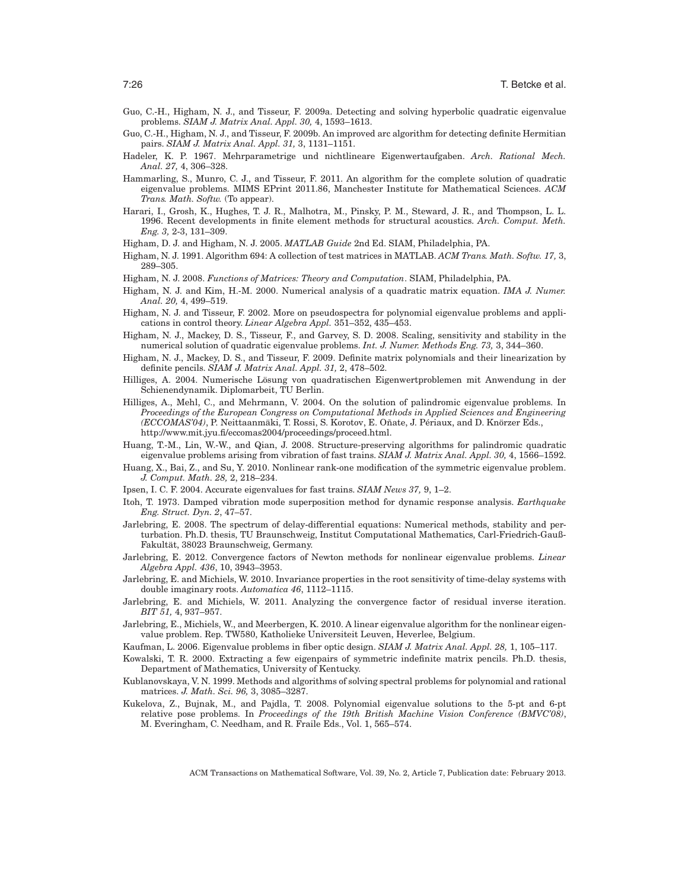- Guo, C.-H., Higham, N. J., and Tisseur, F. 2009a. Detecting and solving hyperbolic quadratic eigenvalue problems. *SIAM J. Matrix Anal. Appl. 30,* 4, 1593–1613.
- Guo, C.-H., Higham, N. J., and Tisseur, F. 2009b. An improved arc algorithm for detecting definite Hermitian pairs. *SIAM J. Matrix Anal. Appl. 31,* 3, 1131–1151.
- Hadeler, K. P. 1967. Mehrparametrige und nichtlineare Eigenwertaufgaben. *Arch. Rational Mech. Anal. 27,* 4, 306–328.
- Hammarling, S., Munro, C. J., and Tisseur, F. 2011. An algorithm for the complete solution of quadratic eigenvalue problems. MIMS EPrint 2011.86, Manchester Institute for Mathematical Sciences. *ACM Trans. Math. Softw.* (To appear).
- Harari, I., Grosh, K., Hughes, T. J. R., Malhotra, M., Pinsky, P. M., Steward, J. R., and Thompson, L. L. 1996. Recent developments in finite element methods for structural acoustics. *Arch. Comput. Meth. Eng. 3,* 2-3, 131–309.
- Higham, D. J. and Higham, N. J. 2005. *MATLAB Guide* 2nd Ed. SIAM, Philadelphia, PA.
- Higham, N. J. 1991. Algorithm 694: A collection of test matrices in MATLAB. *ACM Trans. Math. Softw. 17,* 3, 289–305.
- Higham, N. J. 2008. *Functions of Matrices: Theory and Computation*. SIAM, Philadelphia, PA.
- Higham, N. J. and Kim, H.-M. 2000. Numerical analysis of a quadratic matrix equation. *IMA J. Numer. Anal. 20,* 4, 499–519.
- Higham, N. J. and Tisseur, F. 2002. More on pseudospectra for polynomial eigenvalue problems and applications in control theory. *Linear Algebra Appl.* 351–352, 435–453.
- Higham, N. J., Mackey, D. S., Tisseur, F., and Garvey, S. D. 2008. Scaling, sensitivity and stability in the numerical solution of quadratic eigenvalue problems. *Int. J. Numer. Methods Eng. 73,* 3, 344–360.
- Higham, N. J., Mackey, D. S., and Tisseur, F. 2009. Definite matrix polynomials and their linearization by definite pencils. *SIAM J. Matrix Anal. Appl. 31,* 2, 478–502.
- Hilliges, A. 2004. Numerische Lösung von quadratischen Eigenwertproblemen mit Anwendung in der Schienendynamik. Diplomarbeit, TU Berlin.
- Hilliges, A., Mehl, C., and Mehrmann, V. 2004. On the solution of palindromic eigenvalue problems. In *Proceedings of the European Congress on Computational Methods in Applied Sciences and Engineering (ECCOMAS'04)*, P. Neittaanmäki, T. Rossi, S. Korotov, E. Oñate, J. Périaux, and D. Knörzer Eds., http://www.mit.jyu.fi/eccomas2004/proceedings/proceed.html.
- Huang, T.-M., Lin, W.-W., and Qian, J. 2008. Structure-preserving algorithms for palindromic quadratic eigenvalue problems arising from vibration of fast trains. *SIAM J. Matrix Anal. Appl. 30,* 4, 1566–1592.
- Huang, X., Bai, Z., and Su, Y. 2010. Nonlinear rank-one modification of the symmetric eigenvalue problem. *J. Comput. Math. 28,* 2, 218–234.
- Ipsen, I. C. F. 2004. Accurate eigenvalues for fast trains. *SIAM News 37,* 9, 1–2.
- Itoh, T. 1973. Damped vibration mode superposition method for dynamic response analysis. *Earthquake Eng. Struct. Dyn. 2*, 47–57.
- Jarlebring, E. 2008. The spectrum of delay-differential equations: Numerical methods, stability and perturbation. Ph.D. thesis, TU Braunschweig, Institut Computational Mathematics, Carl-Friedrich-Gauß-Fakultät, 38023 Braunschweig, Germany.
- Jarlebring, E. 2012. Convergence factors of Newton methods for nonlinear eigenvalue problems. *Linear Algebra Appl. 436*, 10, 3943–3953.
- Jarlebring, E. and Michiels, W. 2010. Invariance properties in the root sensitivity of time-delay systems with double imaginary roots. *Automatica 46*, 1112–1115.
- Jarlebring, E. and Michiels, W. 2011. Analyzing the convergence factor of residual inverse iteration. *BIT 51,* 4, 937–957.
- Jarlebring, E., Michiels, W., and Meerbergen, K. 2010. A linear eigenvalue algorithm for the nonlinear eigenvalue problem. Rep. TW580, Katholieke Universiteit Leuven, Heverlee, Belgium.
- Kaufman, L. 2006. Eigenvalue problems in fiber optic design. *SIAM J. Matrix Anal. Appl. 28,* 1, 105–117.
- Kowalski, T. R. 2000. Extracting a few eigenpairs of symmetric indefinite matrix pencils. Ph.D. thesis, Department of Mathematics, University of Kentucky.
- Kublanovskaya, V. N. 1999. Methods and algorithms of solving spectral problems for polynomial and rational matrices. *J. Math. Sci. 96,* 3, 3085–3287.
- Kukelova, Z., Bujnak, M., and Pajdla, T. 2008. Polynomial eigenvalue solutions to the 5-pt and 6-pt relative pose problems. In *Proceedings of the 19th British Machine Vision Conference (BMVC'08)*, M. Everingham, C. Needham, and R. Fraile Eds., Vol. 1, 565–574.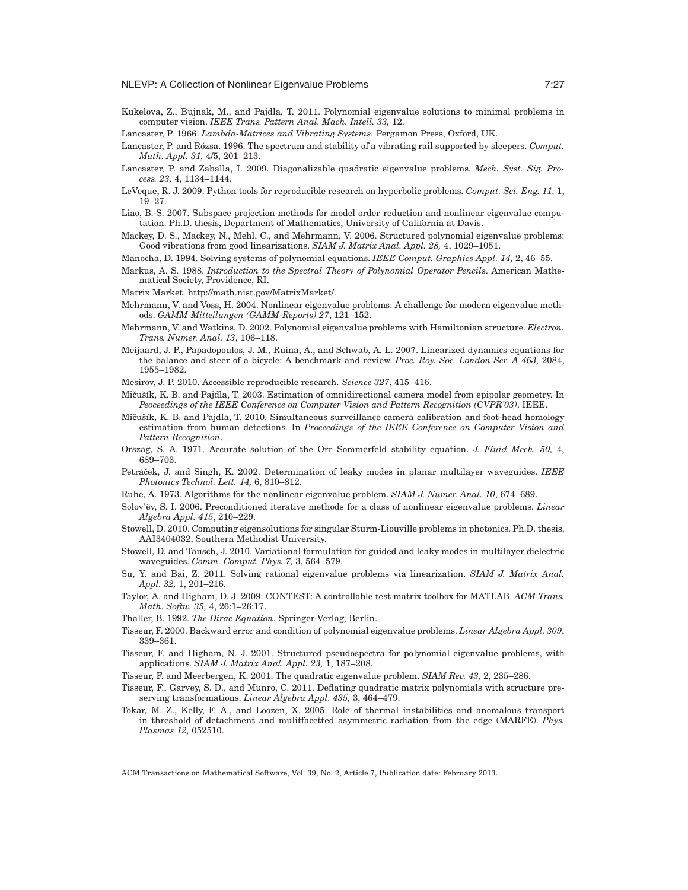Kukelova, Z., Bujnak, M., and Pajdla, T. 2011. Polynomial eigenvalue solutions to minimal problems in computer vision. *IEEE Trans. Pattern Anal. Mach. Intell. 33,* 12.

Lancaster, P. 1966. *Lambda-Matrices and Vibrating Systems*. Pergamon Press, Oxford, UK.

- Lancaster, P. and Rózsa. 1996. The spectrum and stability of a vibrating rail supported by sleepers. *Comput. Math. Appl. 31,* 4/5, 201–213.
- Lancaster, P. and Zaballa, I. 2009. Diagonalizable quadratic eigenvalue problems. *Mech. Syst. Sig. Process. 23,* 4, 1134–1144.
- LeVeque, R. J. 2009. Python tools for reproducible research on hyperbolic problems. *Comput. Sci. Eng. 11,* 1, 19–27.
- Liao, B.-S. 2007. Subspace projection methods for model order reduction and nonlinear eigenvalue computation. Ph.D. thesis, Department of Mathematics, University of California at Davis.
- Mackey, D. S., Mackey, N., Mehl, C., and Mehrmann, V. 2006. Structured polynomial eigenvalue problems: Good vibrations from good linearizations. *SIAM J. Matrix Anal. Appl. 28,* 4, 1029–1051.

Manocha, D. 1994. Solving systems of polynomial equations. *IEEE Comput. Graphics Appl. 14,* 2, 46–55.

Markus, A. S. 1988. *Introduction to the Spectral Theory of Polynomial Operator Pencils*. American Mathematical Society, Providence, RI.

Matrix Market. http://math.nist.gov/MatrixMarket/.

- Mehrmann, V. and Voss, H. 2004. Nonlinear eigenvalue problems: A challenge for modern eigenvalue methods. *GAMM-Mitteilungen (GAMM-Reports) 27*, 121–152.
- Mehrmann, V. and Watkins, D. 2002. Polynomial eigenvalue problems with Hamiltonian structure. *Electron. Trans. Numer. Anal. 13*, 106–118.
- Meijaard, J. P., Papadopoulos, J. M., Ruina, A., and Schwab, A. L. 2007. Linearized dynamics equations for the balance and steer of a bicycle: A benchmark and review. *Proc. Roy. Soc. London Ser. A 463,* 2084, 1955–1982.

Mesirov, J. P. 2010. Accessible reproducible research. *Science 327*, 415–416.

- Mičušík, K. B. and Pajdla, T. 2003. Estimation of omnidirectional camera model from epipolar geometry. In *Peoceedings of the IEEE Conference on Computer Vision and Pattern Recognition (CVPR'03)*. IEEE.
- Mičušík, K. B. and Pajdla, T. 2010. Simultaneous surveillance camera calibration and foot-head homology estimation from human detections. In *Proceedings of the IEEE Conference on Computer Vision and Pattern Recognition*.
- Orszag, S. A. 1971. Accurate solution of the Orr–Sommerfeld stability equation. *J. Fluid Mech. 50,* 4, 689–703.
- Petráček, J. and Singh, K. 2002. Determination of leaky modes in planar multilayer waveguides. *IEEE Photonics Technol. Lett. 14,* 6, 810–812.
- Ruhe, A. 1973. Algorithms for the nonlinear eigenvalue problem. *SIAM J. Numer. Anal. 10*, 674–689.
- Solov'ëv, S. I. 2006. Preconditioned iterative methods for a class of nonlinear eigenvalue problems. *Linear Algebra Appl. 415*, 210–229.
- Stowell, D. 2010. Computing eigensolutions for singular Sturm-Liouville problems in photonics. Ph.D. thesis, AAI3404032, Southern Methodist University.
- Stowell, D. and Tausch, J. 2010. Variational formulation for guided and leaky modes in multilayer dielectric waveguides. *Comm. Comput. Phys. 7,* 3, 564–579.
- Su, Y. and Bai, Z. 2011. Solving rational eigenvalue problems via linearization. *SIAM J. Matrix Anal. Appl. 32,* 1, 201–216.
- Taylor, A. and Higham, D. J. 2009. CONTEST: A controllable test matrix toolbox for MATLAB. *ACM Trans. Math. Softw. 35,* 4, 26:1–26:17.
- Thaller, B. 1992. *The Dirac Equation*. Springer-Verlag, Berlin.
- Tisseur, F. 2000. Backward error and condition of polynomial eigenvalue problems. *Linear Algebra Appl. 309*, 339–361.
- Tisseur, F. and Higham, N. J. 2001. Structured pseudospectra for polynomial eigenvalue problems, with applications. *SIAM J. Matrix Anal. Appl. 23,* 1, 187–208.
- Tisseur, F. and Meerbergen, K. 2001. The quadratic eigenvalue problem. *SIAM Rev. 43,* 2, 235–286.
- Tisseur, F., Garvey, S. D., and Munro, C. 2011. Deflating quadratic matrix polynomials with structure preserving transformations. *Linear Algebra Appl. 435,* 3, 464–479.
- Tokar, M. Z., Kelly, F. A., and Loozen, X. 2005. Role of thermal instabilities and anomalous transport in threshold of detachment and mulitfacetted asymmetric radiation from the edge (MARFE). *Phys. Plasmas 12,* 052510.